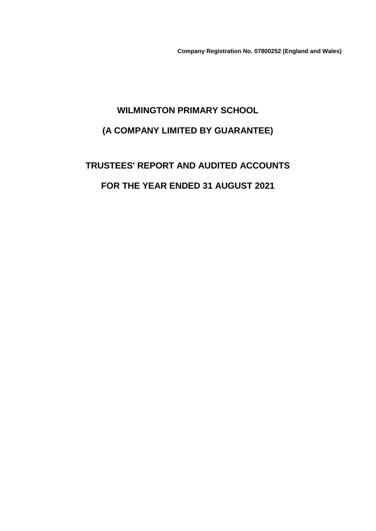**Company Registration No. 07800252 (England and Wales)**

# **WILMINGTON PRIMARY SCHOOL (A COMPANY LIMITED BY GUARANTEE)**

# **TRUSTEES' REPORT AND AUDITED ACCOUNTS FOR THE YEAR ENDED 31 AUGUST 2021**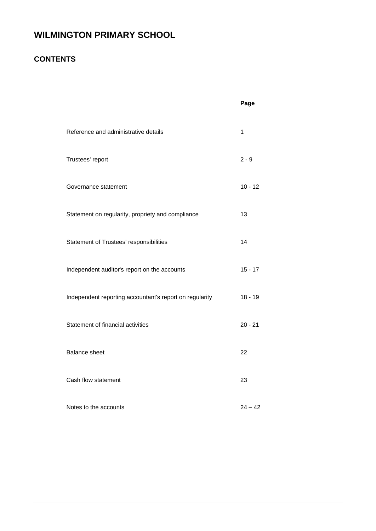# **CONTENTS**

|                                                         | Page      |
|---------------------------------------------------------|-----------|
| Reference and administrative details                    | 1         |
| Trustees' report                                        | $2 - 9$   |
| Governance statement                                    | $10 - 12$ |
| Statement on regularity, propriety and compliance       | 13        |
| Statement of Trustees' responsibilities                 | 14        |
| Independent auditor's report on the accounts            | $15 - 17$ |
| Independent reporting accountant's report on regularity | $18 - 19$ |
| Statement of financial activities                       | $20 - 21$ |
| <b>Balance sheet</b>                                    | 22        |
| Cash flow statement                                     | 23        |
| Notes to the accounts                                   | $24 - 42$ |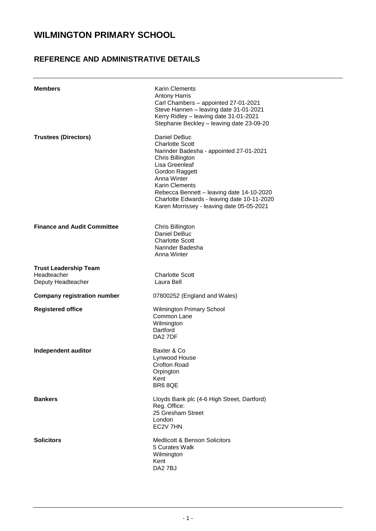# **REFERENCE AND ADMINISTRATIVE DETAILS**

| <b>Members</b>                                                    | <b>Karin Clements</b><br><b>Antony Harris</b><br>Carl Chambers - appointed 27-01-2021<br>Steve Hannen - leaving date 31-01-2021<br>Kerry Ridley - leaving date 31-01-2021<br>Stephanie Beckley - leaving date 23-09-20                                                                                                     |
|-------------------------------------------------------------------|----------------------------------------------------------------------------------------------------------------------------------------------------------------------------------------------------------------------------------------------------------------------------------------------------------------------------|
| <b>Trustees (Directors)</b>                                       | Daniel DeBuc<br><b>Charlotte Scott</b><br>Narinder Badesha - appointed 27-01-2021<br>Chris Billington<br>Lisa Greenleaf<br>Gordon Raggett<br>Anna Winter<br><b>Karin Clements</b><br>Rebecca Bennett - leaving date 14-10-2020<br>Charlotte Edwards - leaving date 10-11-2020<br>Karen Morrissey - leaving date 05-05-2021 |
| <b>Finance and Audit Committee</b>                                | Chris Billington<br>Daniel DeBuc<br><b>Charlotte Scott</b><br>Narinder Badesha<br>Anna Winter                                                                                                                                                                                                                              |
| <b>Trust Leadership Team</b><br>Headteacher<br>Deputy Headteacher | <b>Charlotte Scott</b><br>Laura Bell                                                                                                                                                                                                                                                                                       |
| <b>Company registration number</b>                                | 07800252 (England and Wales)                                                                                                                                                                                                                                                                                               |
| <b>Registered office</b>                                          | <b>Wilmington Primary School</b><br>Common Lane<br>Wilmington<br>Dartford<br>DA2 7DF                                                                                                                                                                                                                                       |
| Independent auditor                                               | Baxter & Co<br>Lynwood House<br>Crofton Road<br>Orpington<br>Kent<br>BR68QE                                                                                                                                                                                                                                                |
| <b>Bankers</b>                                                    | Lloyds Bank plc (4-6 High Street, Dartford)<br>Reg. Office:<br>25 Gresham Street<br>London<br>EC2V 7HN                                                                                                                                                                                                                     |
| <b>Solicitors</b>                                                 | <b>Medlicott &amp; Benson Solicitors</b><br>5 Curates Walk<br>Wilmington<br>Kent<br>DA2 7BJ                                                                                                                                                                                                                                |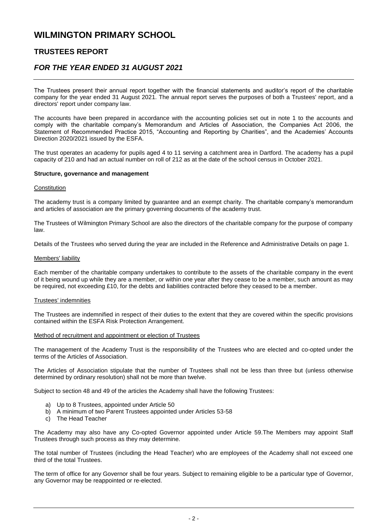# **TRUSTEES REPORT**

# *FOR THE YEAR ENDED 31 AUGUST 2021*

The Trustees present their annual report together with the financial statements and auditor's report of the charitable company for the year ended 31 August 2021. The annual report serves the purposes of both a Trustees' report, and a directors' report under company law.

The accounts have been prepared in accordance with the accounting policies set out in note 1 to the accounts and comply with the charitable company's Memorandum and Articles of Association, the Companies Act 2006, the Statement of Recommended Practice 2015, "Accounting and Reporting by Charities", and the Academies' Accounts Direction 2020/2021 issued by the ESFA.

The trust operates an academy for pupils aged 4 to 11 serving a catchment area in Dartford. The academy has a pupil capacity of 210 and had an actual number on roll of 212 as at the date of the school census in October 2021.

### **Structure, governance and management**

### **Constitution**

The academy trust is a company limited by guarantee and an exempt charity. The charitable company's memorandum and articles of association are the primary governing documents of the academy trust.

The Trustees of Wilmington Primary School are also the directors of the charitable company for the purpose of company law.

Details of the Trustees who served during the year are included in the Reference and Administrative Details on page 1.

### Members' liability

Each member of the charitable company undertakes to contribute to the assets of the charitable company in the event of it being wound up while they are a member, or within one year after they cease to be a member, such amount as may be required, not exceeding £10, for the debts and liabilities contracted before they ceased to be a member.

### Trustees' indemnities

The Trustees are indemnified in respect of their duties to the extent that they are covered within the specific provisions contained within the ESFA Risk Protection Arrangement.

### Method of recruitment and appointment or election of Trustees

The management of the Academy Trust is the responsibility of the Trustees who are elected and co-opted under the terms of the Articles of Association.

The Articles of Association stipulate that the number of Trustees shall not be less than three but (unless otherwise determined by ordinary resolution) shall not be more than twelve.

Subject to section 48 and 49 of the articles the Academy shall have the following Trustees:

- a) Up to 8 Trustees, appointed under Article 50
- b) A minimum of two Parent Trustees appointed under Articles 53-58
- c) The Head Teacher

The Academy may also have any Co-opted Governor appointed under Article 59.The Members may appoint Staff Trustees through such process as they may determine.

The total number of Trustees (including the Head Teacher) who are employees of the Academy shall not exceed one third of the total Trustees.

The term of office for any Governor shall be four years. Subject to remaining eligible to be a particular type of Governor, any Governor may be reappointed or re-elected.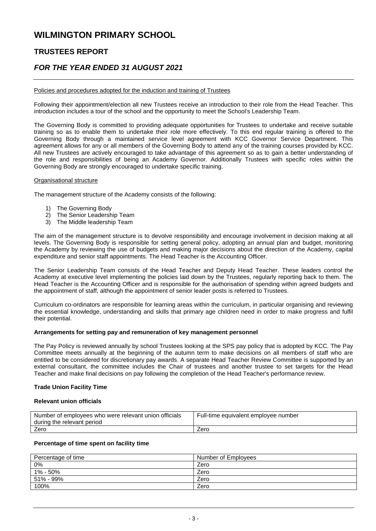# **TRUSTEES REPORT**

# *FOR THE YEAR ENDED 31 AUGUST 2021*

### Policies and procedures adopted for the induction and training of Trustees

Following their appointment/election all new Trustees receive an introduction to their role from the Head Teacher. This introduction includes a tour of the school and the opportunity to meet the School's Leadership Team.

The Governing Body is committed to providing adequate opportunities for Trustees to undertake and receive suitable training so as to enable them to undertake their role more effectively. To this end regular training is offered to the Governing Body through a maintained service level agreement with KCC Governor Service Department. This agreement allows for any or all members of the Governing Body to attend any of the training courses provided by KCC. All new Trustees are actively encouraged to take advantage of this agreement so as to gain a better understanding of the role and responsibilities of being an Academy Governor. Additionally Trustees with specific roles within the Governing Body are strongly encouraged to undertake specific training.

#### Organisational structure

The management structure of the Academy consists of the following:

- 1) The Governing Body
- 2) The Senior Leadership Team
- 3) The Middle leadership Team

The aim of the management structure is to devolve responsibility and encourage involvement in decision making at all levels. The Governing Body is responsible for setting general policy, adopting an annual plan and budget, monitoring the Academy by reviewing the use of budgets and making major decisions about the direction of the Academy, capital expenditure and senior staff appointments. The Head Teacher is the Accounting Officer.

The Senior Leadership Team consists of the Head Teacher and Deputy Head Teacher. These leaders control the Academy at executive level implementing the policies laid down by the Trustees, regularly reporting back to them. The Head Teacher is the Accounting Officer and is responsible for the authorisation of spending within agreed budgets and the appointment of staff, although the appointment of senior leader posts is referred to Trustees.

Curriculum co-ordinators are responsible for learning areas within the curriculum, in particular organising and reviewing the essential knowledge, understanding and skills that primary age children need in order to make progress and fulfil their potential.

#### **Arrangements for setting pay and remuneration of key management personnel**

The Pay Policy is reviewed annually by school Trustees looking at the SPS pay policy that is adopted by KCC. The Pay Committee meets annually at the beginning of the autumn term to make decisions on all members of staff who are entitled to be considered for discretionary pay awards. A separate Head Teacher Review Committee is supported by an external consultant, the committee includes the Chair of trustees and another trustee to set targets for the Head Teacher and make final decisions on pay following the completion of the Head Teacher's performance review.

### **Trade Union Facility Time**

#### **Relevant union officials**

| Number of employees who were relevant union officials<br>during the relevant period | Full-time equivalent employee number |
|-------------------------------------------------------------------------------------|--------------------------------------|
| Zero                                                                                | ∠ero                                 |

#### **Percentage of time spent on facility time**

| Percentage of time | Number of Employees |
|--------------------|---------------------|
| 0%                 | Zero                |
| 1% - 50%           | Zero                |
| 51% - 99%          | Zero                |
| 100%               | Zero                |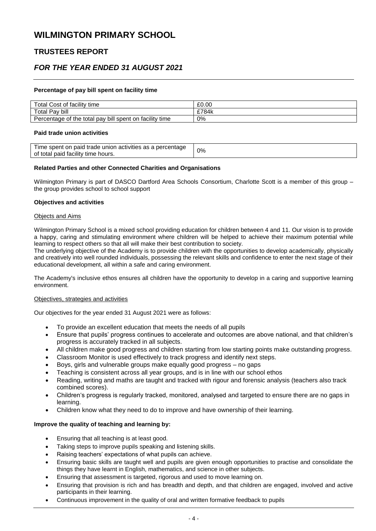# **TRUSTEES REPORT**

# *FOR THE YEAR ENDED 31 AUGUST 2021*

### **Percentage of pay bill spent on facility time**

| Total Cost of facility time                             | £0.00 |
|---------------------------------------------------------|-------|
| Total Pav bill                                          | £784k |
| Percentage of the total pay bill spent on facility time | $0\%$ |

### **Paid trade union activities**

| Time spent on paid trade union activities as a percentage<br>of total paid facility time hours. | 0% |
|-------------------------------------------------------------------------------------------------|----|
|-------------------------------------------------------------------------------------------------|----|

### **Related Parties and other Connected Charities and Organisations**

Wilmington Primary is part of DASCO Dartford Area Schools Consortium, Charlotte Scott is a member of this group – the group provides school to school support

### **Objectives and activities**

#### Objects and Aims

Wilmington Primary School is a mixed school providing education for children between 4 and 11. Our vision is to provide a happy, caring and stimulating environment where children will be helped to achieve their maximum potential while learning to respect others so that all will make their best contribution to society.

The underlying objective of the Academy is to provide children with the opportunities to develop academically, physically and creatively into well rounded individuals, possessing the relevant skills and confidence to enter the next stage of their educational development, all within a safe and caring environment.

The Academy's inclusive ethos ensures all children have the opportunity to develop in a caring and supportive learning environment.

### Objectives, strategies and activities

Our objectives for the year ended 31 August 2021 were as follows:

- To provide an excellent education that meets the needs of all pupils
- Ensure that pupils' progress continues to accelerate and outcomes are above national, and that children's progress is accurately tracked in all subjects.
- All children make good progress and children starting from low starting points make outstanding progress.
- Classroom Monitor is used effectively to track progress and identify next steps.
- Boys, girls and vulnerable groups make equally good progress no gaps
- Teaching is consistent across all year groups, and is in line with our school ethos
- Reading, writing and maths are taught and tracked with rigour and forensic analysis (teachers also track combined scores).
- Children's progress is regularly tracked, monitored, analysed and targeted to ensure there are no gaps in learning.
- Children know what they need to do to improve and have ownership of their learning.

### **Improve the quality of teaching and learning by:**

- Ensuring that all teaching is at least good.
- Taking steps to improve pupils speaking and listening skills.
- Raising teachers' expectations of what pupils can achieve.
- Ensuring basic skills are taught well and pupils are given enough opportunities to practise and consolidate the things they have learnt in English, mathematics, and science in other subjects.
- Ensuring that assessment is targeted, rigorous and used to move learning on.
- Ensuring that provision is rich and has breadth and depth, and that children are engaged, involved and active participants in their learning.
- Continuous improvement in the quality of oral and written formative feedback to pupils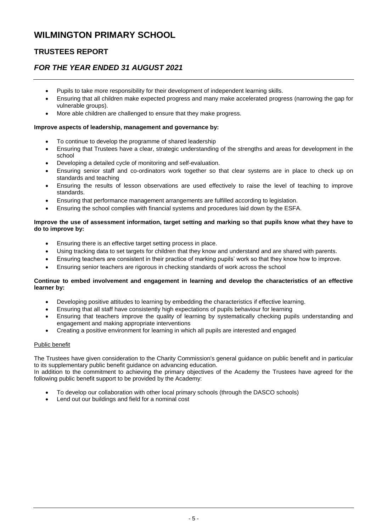# **TRUSTEES REPORT**

# *FOR THE YEAR ENDED 31 AUGUST 2021*

- Pupils to take more responsibility for their development of independent learning skills.
- Ensuring that all children make expected progress and many make accelerated progress (narrowing the gap for vulnerable groups).
- More able children are challenged to ensure that they make progress.

### **Improve aspects of leadership, management and governance by:**

- To continue to develop the programme of shared leadership
- Ensuring that Trustees have a clear, strategic understanding of the strengths and areas for development in the school
- Developing a detailed cycle of monitoring and self-evaluation.
- Ensuring senior staff and co-ordinators work together so that clear systems are in place to check up on standards and teaching
- Ensuring the results of lesson observations are used effectively to raise the level of teaching to improve standards.
- Ensuring that performance management arrangements are fulfilled according to legislation.
- Ensuring the school complies with financial systems and procedures laid down by the ESFA.

### **Improve the use of assessment information, target setting and marking so that pupils know what they have to do to improve by:**

- Ensuring there is an effective target setting process in place.
- Using tracking data to set targets for children that they know and understand and are shared with parents.
- Ensuring teachers are consistent in their practice of marking pupils' work so that they know how to improve.
- Ensuring senior teachers are rigorous in checking standards of work across the school

### **Continue to embed involvement and engagement in learning and develop the characteristics of an effective learner by:**

- Developing positive attitudes to learning by embedding the characteristics if effective learning.
- Ensuring that all staff have consistently high expectations of pupils behaviour for learning
- Ensuring that teachers improve the quality of learning by systematically checking pupils understanding and engagement and making appropriate interventions
- Creating a positive environment for learning in which all pupils are interested and engaged

### Public benefit

The Trustees have given consideration to the Charity Commission's general guidance on public benefit and in particular to its supplementary public benefit guidance on advancing education.

In addition to the commitment to achieving the primary objectives of the Academy the Trustees have agreed for the following public benefit support to be provided by the Academy:

- To develop our collaboration with other local primary schools (through the DASCO schools)
- Lend out our buildings and field for a nominal cost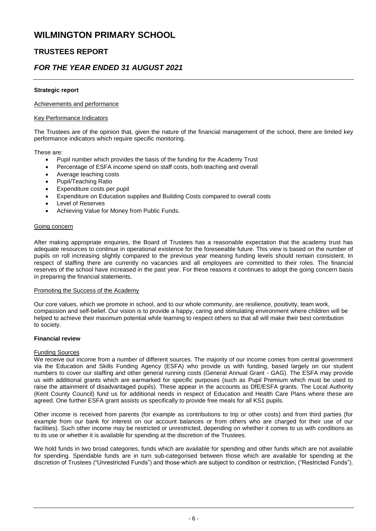# **TRUSTEES REPORT**

# *FOR THE YEAR ENDED 31 AUGUST 2021*

### **Strategic report**

Achievements and performance

### Key Performance Indicators

The Trustees are of the opinion that, given the nature of the financial management of the school, there are limited key performance indicators which require specific monitoring.

These are:

- Pupil number which provides the basis of the funding for the Academy Trust
- Percentage of ESFA income spend on staff costs, both teaching and overall
- Average teaching costs
- Pupil/Teaching Ratio
- Expenditure costs per pupil
- Expenditure on Education supplies and Building Costs compared to overall costs
- Level of Reserves
- Achieving Value for Money from Public Funds.

### Going concern

After making appropriate enquiries, the Board of Trustees has a reasonable expectation that the academy trust has adequate resources to continue in operational existence for the foreseeable future. This view is based on the number of pupils on roll increasing slightly compared to the previous year meaning funding levels should remain consistent. In respect of staffing there are currently no vacancies and all employees are committed to their roles. The financial reserves of the school have increased in the past year. For these reasons it continues to adopt the going concern basis in preparing the financial statements.

### Promoting the Success of the Academy

Our core values, which we promote in school, and to our whole community, are resilience, positivity, team work, compassion and self-belief. Our vision is to provide a happy, caring and stimulating environment where children will be helped to achieve their maximum potential while learning to respect others so that all will make their best contribution to society.

### **Financial review**

### Funding Sources

We receive our income from a number of different sources. The majority of our income comes from central government via the Education and Skills Funding Agency (ESFA) who provide us with funding, based largely on our student numbers to cover our staffing and other general running costs (General Annual Grant - GAG). The ESFA may provide us with additional grants which are earmarked for specific purposes (such as Pupil Premium which must be used to raise the attainment of disadvantaged pupils). These appear in the accounts as DfE/ESFA grants. The Local Authority (Kent County Council) fund us for additional needs in respect of Education and Health Care Plans where these are agreed. One further ESFA grant assists us specifically to provide free meals for all KS1 pupils.

Other income is received from parents (for example as contributions to trip or other costs) and from third parties (for example from our bank for interest on our account balances or from others who are charged for their use of our facilities). Such other income may be restricted or unrestricted, depending on whether it comes to us with conditions as to its use or whether it is available for spending at the discretion of the Trustees.

We hold funds in two broad categories, funds which are available for spending and other funds which are not available for spending. Spendable funds are in turn sub-categorised between those which are available for spending at the discretion of Trustees ("Unrestricted Funds") and those which are subject to condition or restriction, ("Restricted Funds").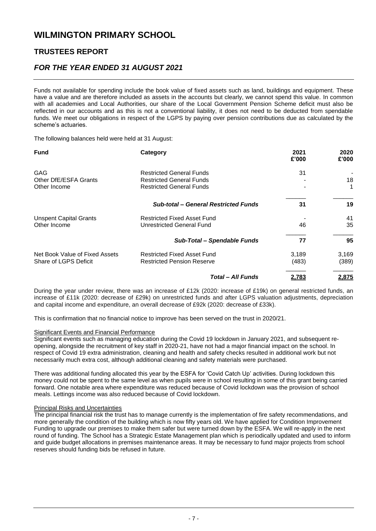# **TRUSTEES REPORT**

# *FOR THE YEAR ENDED 31 AUGUST 2021*

Funds not available for spending include the book value of fixed assets such as land, buildings and equipment. These have a value and are therefore included as assets in the accounts but clearly, we cannot spend this value. In common with all academies and Local Authorities, our share of the Local Government Pension Scheme deficit must also be reflected in our accounts and as this is not a conventional liability, it does not need to be deducted from spendable funds. We meet our obligations in respect of the LGPS by paying over pension contributions due as calculated by the scheme's actuaries.

The following balances held were held at 31 August:

| <b>Fund</b>                    | Category                                    | 2021<br>£'000 | 2020<br>£'000 |
|--------------------------------|---------------------------------------------|---------------|---------------|
| GAG                            | <b>Restricted General Funds</b>             | 31            |               |
| Other DfE/ESFA Grants          | <b>Restricted General Funds</b>             |               | 18            |
| Other Income                   | <b>Restricted General Funds</b>             |               | 1             |
|                                | <b>Sub-total - General Restricted Funds</b> | 31            | 19            |
| <b>Unspent Capital Grants</b>  | <b>Restricted Fixed Asset Fund</b>          |               | 41            |
| Other Income                   | <b>Unrestricted General Fund</b>            | 46            | 35            |
|                                | Sub-Total - Spendable Funds                 | 77            | 95            |
| Net Book Value of Fixed Assets | <b>Restricted Fixed Asset Fund</b>          | 3,189         | 3,169         |
| Share of LGPS Deficit          | <b>Restricted Pension Reserve</b>           | (483)         | (389)         |
|                                | Total – All Funds                           | 2,783         | 2,875         |

During the year under review, there was an increase of £12k (2020: increase of £19k) on general restricted funds, an increase of £11k (2020: decrease of £29k) on unrestricted funds and after LGPS valuation adjustments, depreciation and capital income and expenditure, an overall decrease of £92k (2020: decrease of £33k).

This is confirmation that no financial notice to improve has been served on the trust in 2020/21.

### Significant Events and Financial Performance

Significant events such as managing education during the Covid 19 lockdown in January 2021, and subsequent reopening, alongside the recruitment of key staff in 2020-21, have not had a major financial impact on the school. In respect of Covid 19 extra administration, cleaning and health and safety checks resulted in additional work but not necessarily much extra cost, although additional cleaning and safety materials were purchased.

There was additional funding allocated this year by the ESFA for 'Covid Catch Up' activities. During lockdown this money could not be spent to the same level as when pupils were in school resulting in some of this grant being carried forward. One notable area where expenditure was reduced because of Covid lockdown was the provision of school meals. Lettings income was also reduced because of Covid lockdown.

### Principal Risks and Uncertainties

The principal financial risk the trust has to manage currently is the implementation of fire safety recommendations, and more generally the condition of the building which is now fifty years old. We have applied for Condition Improvement Funding to upgrade our premises to make them safer but were turned down by the ESFA. We will re-apply in the next round of funding. The School has a Strategic Estate Management plan which is periodically updated and used to inform and guide budget allocations in premises maintenance areas. It may be necessary to fund major projects from school reserves should funding bids be refused in future.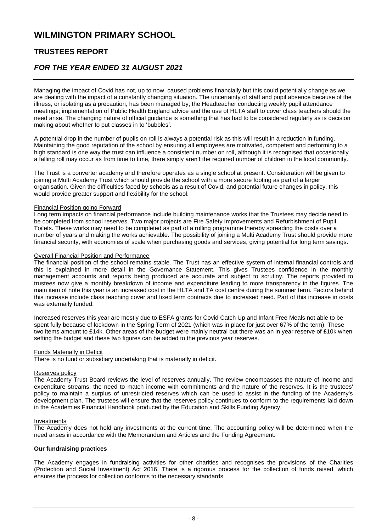# **TRUSTEES REPORT**

# *FOR THE YEAR ENDED 31 AUGUST 2021*

Managing the impact of Covid has not, up to now, caused problems financially but this could potentially change as we are dealing with the impact of a constantly changing situation. The uncertainty of staff and pupil absence because of the illness, or isolating as a precaution, has been managed by; the Headteacher conducting weekly pupil attendance meetings; implementation of Public Health England advice and the use of HLTA staff to cover class teachers should the need arise. The changing nature of official guidance is something that has had to be considered regularly as is decision making about whether to put classes in to 'bubbles'.

A potential drop in the number of pupils on roll is always a potential risk as this will result in a reduction in funding. Maintaining the good reputation of the school by ensuring all employees are motivated, competent and performing to a high standard is one way the trust can influence a consistent number on roll, although it is recognised that occasionally a falling roll may occur as from time to time, there simply aren't the required number of children in the local community.

The Trust is a converter academy and therefore operates as a single school at present. Consideration will be given to joining a Multi Academy Trust which should provide the school with a more secure footing as part of a larger organisation. Given the difficulties faced by schools as a result of Covid, and potential future changes in policy, this would provide greater support and flexibility for the school.

### Financial Position going Forward

Long term impacts on financial performance include building maintenance works that the Trustees may decide need to be completed from school reserves. Two major projects are Fire Safety Improvements and Refurbishment of Pupil Toilets. These works may need to be completed as part of a rolling programme thereby spreading the costs over a number of years and making the works achievable. The possibility of joining a Multi Academy Trust should provide more financial security, with economies of scale when purchasing goods and services, giving potential for long term savings.

### **Overall Financial Position and Performance**

The financial position of the school remains stable. The Trust has an effective system of internal financial controls and this is explained in more detail in the Governance Statement. This gives Trustees confidence in the monthly management accounts and reports being produced are accurate and subject to scrutiny. The reports provided to trustees now give a monthly breakdown of income and expenditure leading to more transparency in the figures. The main item of note this year is an increased cost in the HLTA and TA cost centre during the summer term. Factors behind this increase include class teaching cover and fixed term contracts due to increased need. Part of this increase in costs was externally funded.

Increased reserves this year are mostly due to ESFA grants for Covid Catch Up and Infant Free Meals not able to be spent fully because of lockdown in the Spring Term of 2021 (which was in place for just over 67% of the term). These two items amount to £14k. Other areas of the budget were mainly neutral but there was an in year reserve of £10k when setting the budget and these two figures can be added to the previous year reserves.

### Funds Materially in Deficit

There is no fund or subsidiary undertaking that is materially in deficit.

### Reserves policy

The Academy Trust Board reviews the level of reserves annually. The review encompasses the nature of income and expenditure streams, the need to match income with commitments and the nature of the reserves. It is the trustees' policy to maintain a surplus of unrestricted reserves which can be used to assist in the funding of the Academy's development plan. The trustees will ensure that the reserves policy continues to conform to the requirements laid down in the Academies Financial Handbook produced by the Education and Skills Funding Agency.

### Investments

The Academy does not hold any investments at the current time. The accounting policy will be determined when the need arises in accordance with the Memorandum and Articles and the Funding Agreement.

### **Our fundraising practices**

The Academy engages in fundraising activities for other charities and recognises the provisions of the Charities (Protection and Social Investment) Act 2016. There is a rigorous process for the collection of funds raised, which ensures the process for collection conforms to the necessary standards.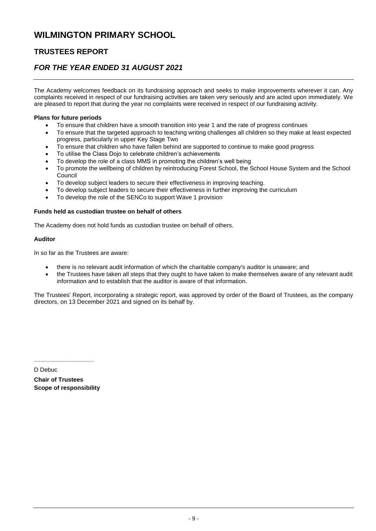# **TRUSTEES REPORT**

# *FOR THE YEAR ENDED 31 AUGUST 2021*

The Academy welcomes feedback on its fundraising approach and seeks to make improvements wherever it can. Any complaints received in respect of our fundraising activities are taken very seriously and are acted upon immediately. We are pleased to report that during the year no complaints were received in respect of our fundraising activity.

### **Plans for future periods**

- To ensure that children have a smooth transition into year 1 and the rate of progress continues
- To ensure that the targeted approach to teaching writing challenges all children so they make at least expected progress, particularly in upper Key Stage Two
- To ensure that children who have fallen behind are supported to continue to make good progress
- To utilise the Class Dojo to celebrate children's achievements
- To develop the role of a class MMS in promoting the children's well being
- To promote the wellbeing of children by reintroducing Forest School, the School House System and the School Council
- To develop subject leaders to secure their effectiveness in improving teaching.
- To develop subject leaders to secure their effectiveness in further improving the curriculum
- To develop the role of the SENCo to support Wave 1 provision

### **Funds held as custodian trustee on behalf of others**

The Academy does not hold funds as custodian trustee on behalf of others.

### **Auditor**

In so far as the Trustees are aware:

- there is no relevant audit information of which the charitable company's auditor is unaware; and
- the Trustees have taken all steps that they ought to have taken to make themselves aware of any relevant audit information and to establish that the auditor is aware of that information.

The Trustees' Report, incorporating a strategic report, was approved by order of the Board of Trustees, as the company directors, on 13 December 2021 and signed on its behalf by.

…………………………

D Debuc **Chair of Trustees Scope of responsibility**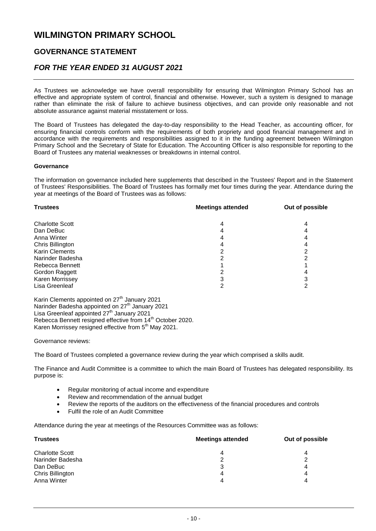# **GOVERNANCE STATEMENT**

# *FOR THE YEAR ENDED 31 AUGUST 2021*

As Trustees we acknowledge we have overall responsibility for ensuring that Wilmington Primary School has an effective and appropriate system of control, financial and otherwise. However, such a system is designed to manage rather than eliminate the risk of failure to achieve business objectives, and can provide only reasonable and not absolute assurance against material misstatement or loss.

The Board of Trustees has delegated the day-to-day responsibility to the Head Teacher, as accounting officer, for ensuring financial controls conform with the requirements of both propriety and good financial management and in accordance with the requirements and responsibilities assigned to it in the funding agreement between Wilmington Primary School and the Secretary of State for Education. The Accounting Officer is also responsible for reporting to the Board of Trustees any material weaknesses or breakdowns in internal control.

### **Governance**

The information on governance included here supplements that described in the Trustees' Report and in the Statement of Trustees' Responsibilities. The Board of Trustees has formally met four times during the year. Attendance during the year at meetings of the Board of Trustees was as follows:

| <b>Trustees</b>        | <b>Meetings attended</b> | Out of possible |  |
|------------------------|--------------------------|-----------------|--|
| <b>Charlotte Scott</b> |                          |                 |  |
| Dan DeBuc              |                          |                 |  |
| Anna Winter            |                          |                 |  |
| Chris Billington       |                          |                 |  |
| <b>Karin Clements</b>  |                          |                 |  |
| Narinder Badesha       |                          |                 |  |
| Rebecca Bennett        |                          |                 |  |
| Gordon Raggett         |                          |                 |  |
| Karen Morrissey        |                          |                 |  |
| Lisa Greenleaf         |                          |                 |  |

Karin Clements appointed on 27<sup>th</sup> January 2021 Narinder Badesha appointed on 27<sup>th</sup> January 2021 Lisa Greenleaf appointed 27<sup>th</sup> January 2021 Rebecca Bennett resigned effective from 14<sup>th</sup> October 2020. Karen Morrissey resigned effective from 5<sup>th</sup> May 2021.

Governance reviews:

The Board of Trustees completed a governance review during the year which comprised a skills audit.

The Finance and Audit Committee is a committee to which the main Board of Trustees has delegated responsibility. Its purpose is:

- Regular monitoring of actual income and expenditure
- Review and recommendation of the annual budget
- Review the reports of the auditors on the effectiveness of the financial procedures and controls
- Fulfil the role of an Audit Committee

Attendance during the year at meetings of the Resources Committee was as follows:

| <b>Trustees</b>        | <b>Meetings attended</b> | Out of possible |
|------------------------|--------------------------|-----------------|
| <b>Charlotte Scott</b> |                          | 4               |
| Narinder Badesha       | 2                        | 2               |
| Dan DeBuc              | 3                        | 4               |
| Chris Billington       |                          | 4               |
| Anna Winter            |                          | 4               |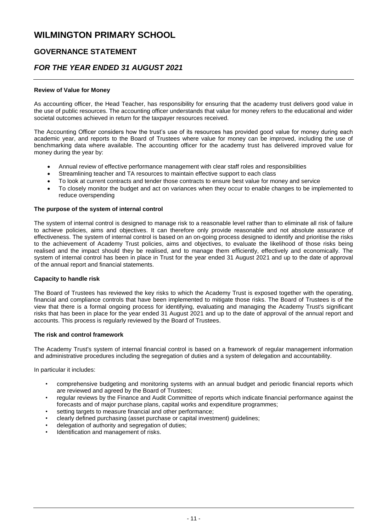# **GOVERNANCE STATEMENT**

# *FOR THE YEAR ENDED 31 AUGUST 2021*

### **Review of Value for Money**

As accounting officer, the Head Teacher, has responsibility for ensuring that the academy trust delivers good value in the use of public resources. The accounting officer understands that value for money refers to the educational and wider societal outcomes achieved in return for the taxpayer resources received.

The Accounting Officer considers how the trust's use of its resources has provided good value for money during each academic year, and reports to the Board of Trustees where value for money can be improved, including the use of benchmarking data where available. The accounting officer for the academy trust has delivered improved value for money during the year by:

- Annual review of effective performance management with clear staff roles and responsibilities
- Streamlining teacher and TA resources to maintain effective support to each class
- To look at current contracts and tender those contracts to ensure best value for money and service
- To closely monitor the budget and act on variances when they occur to enable changes to be implemented to reduce overspending

### **The purpose of the system of internal control**

The system of internal control is designed to manage risk to a reasonable level rather than to eliminate all risk of failure to achieve policies, aims and objectives. It can therefore only provide reasonable and not absolute assurance of effectiveness. The system of internal control is based on an on-going process designed to identify and prioritise the risks to the achievement of Academy Trust policies, aims and objectives, to evaluate the likelihood of those risks being realised and the impact should they be realised, and to manage them efficiently, effectively and economically. The system of internal control has been in place in Trust for the year ended 31 August 2021 and up to the date of approval of the annual report and financial statements.

### **Capacity to handle risk**

The Board of Trustees has reviewed the key risks to which the Academy Trust is exposed together with the operating, financial and compliance controls that have been implemented to mitigate those risks. The Board of Trustees is of the view that there is a formal ongoing process for identifying, evaluating and managing the Academy Trust's significant risks that has been in place for the year ended 31 August 2021 and up to the date of approval of the annual report and accounts. This process is regularly reviewed by the Board of Trustees.

### **The risk and control framework**

The Academy Trust's system of internal financial control is based on a framework of regular management information and administrative procedures including the segregation of duties and a system of delegation and accountability.

In particular it includes:

- comprehensive budgeting and monitoring systems with an annual budget and periodic financial reports which are reviewed and agreed by the Board of Trustees;
- regular reviews by the Finance and Audit Committee of reports which indicate financial performance against the forecasts and of major purchase plans, capital works and expenditure programmes;
- setting targets to measure financial and other performance;
- clearly defined purchasing (asset purchase or capital investment) guidelines;
- delegation of authority and segregation of duties;
- Identification and management of risks.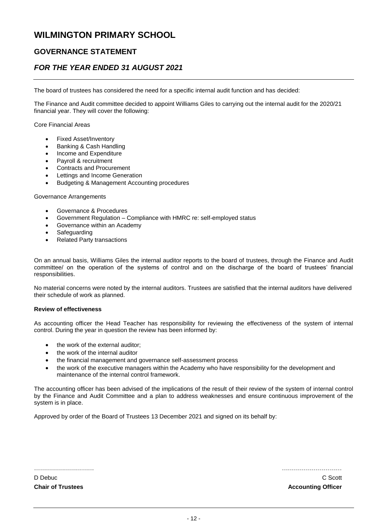# **GOVERNANCE STATEMENT**

# *FOR THE YEAR ENDED 31 AUGUST 2021*

The board of trustees has considered the need for a specific internal audit function and has decided:

The Finance and Audit committee decided to appoint Williams Giles to carrying out the internal audit for the 2020/21 financial year. They will cover the following:

Core Financial Areas

- Fixed Asset/Inventory
- Banking & Cash Handling
- Income and Expenditure
- Payroll & recruitment
- Contracts and Procurement
- Lettings and Income Generation
- Budgeting & Management Accounting procedures

Governance Arrangements

- Governance & Procedures
- Government Regulation Compliance with HMRC re: self-employed status
- Governance within an Academy
- Safeguarding
- Related Party transactions

On an annual basis, Williams Giles the internal auditor reports to the board of trustees, through the Finance and Audit committee/ on the operation of the systems of control and on the discharge of the board of trustees' financial responsibilities.

No material concerns were noted by the internal auditors. Trustees are satisfied that the internal auditors have delivered their schedule of work as planned.

### **Review of effectiveness**

As accounting officer the Head Teacher has responsibility for reviewing the effectiveness of the system of internal control. During the year in question the review has been informed by:

- the work of the external auditor;
- the work of the internal auditor
- the financial management and governance self-assessment process
- the work of the executive managers within the Academy who have responsibility for the development and maintenance of the internal control framework.

The accounting officer has been advised of the implications of the result of their review of the system of internal control by the Finance and Audit Committee and a plan to address weaknesses and ensure continuous improvement of the system is in place.

Approved by order of the Board of Trustees 13 December 2021 and signed on its behalf by:

………………………… …………………………

D Debuc C Scott **Chair of Trustees Accounting Officer Accounting Officer Accounting Officer Accounting Officer**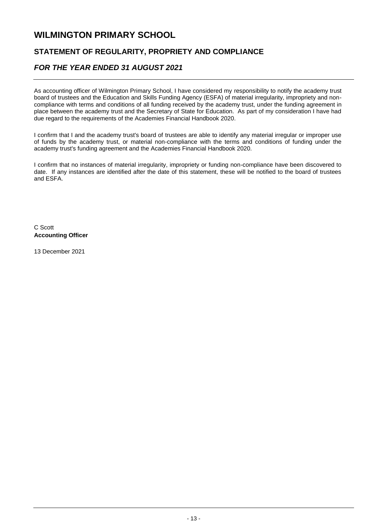# **STATEMENT OF REGULARITY, PROPRIETY AND COMPLIANCE**

# *FOR THE YEAR ENDED 31 AUGUST 2021*

As accounting officer of Wilmington Primary School, I have considered my responsibility to notify the academy trust board of trustees and the Education and Skills Funding Agency (ESFA) of material irregularity, impropriety and noncompliance with terms and conditions of all funding received by the academy trust, under the funding agreement in place between the academy trust and the Secretary of State for Education. As part of my consideration I have had due regard to the requirements of the Academies Financial Handbook 2020.

I confirm that I and the academy trust's board of trustees are able to identify any material irregular or improper use of funds by the academy trust, or material non-compliance with the terms and conditions of funding under the academy trust's funding agreement and the Academies Financial Handbook 2020.

I confirm that no instances of material irregularity, impropriety or funding non-compliance have been discovered to date. If any instances are identified after the date of this statement, these will be notified to the board of trustees and ESFA.

C Scott **Accounting Officer**

13 December 2021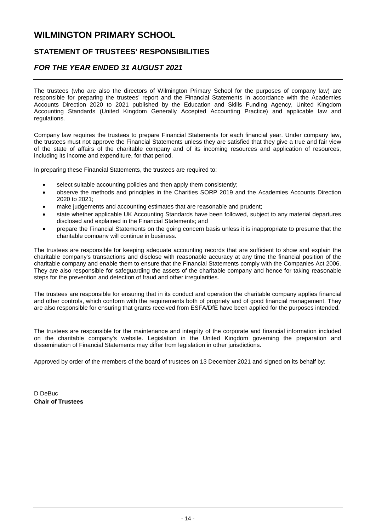# **STATEMENT OF TRUSTEES' RESPONSIBILITIES**

# *FOR THE YEAR ENDED 31 AUGUST 2021*

The trustees (who are also the directors of Wilmington Primary School for the purposes of company law) are responsible for preparing the trustees' report and the Financial Statements in accordance with the Academies Accounts Direction 2020 to 2021 published by the Education and Skills Funding Agency, United Kingdom Accounting Standards (United Kingdom Generally Accepted Accounting Practice) and applicable law and regulations.

Company law requires the trustees to prepare Financial Statements for each financial year. Under company law, the trustees must not approve the Financial Statements unless they are satisfied that they give a true and fair view of the state of affairs of the charitable company and of its incoming resources and application of resources, including its income and expenditure, for that period.

In preparing these Financial Statements, the trustees are required to:

- select suitable accounting policies and then apply them consistently;
- observe the methods and principles in the Charities SORP 2019 and the Academies Accounts Direction 2020 to 2021;
- make judgements and accounting estimates that are reasonable and prudent;
- state whether applicable UK Accounting Standards have been followed, subject to any material departures disclosed and explained in the Financial Statements; and
- prepare the Financial Statements on the going concern basis unless it is inappropriate to presume that the charitable company will continue in business.

The trustees are responsible for keeping adequate accounting records that are sufficient to show and explain the charitable company's transactions and disclose with reasonable accuracy at any time the financial position of the charitable company and enable them to ensure that the Financial Statements comply with the Companies Act 2006. They are also responsible for safeguarding the assets of the charitable company and hence for taking reasonable steps for the prevention and detection of fraud and other irregularities.

The trustees are responsible for ensuring that in its conduct and operation the charitable company applies financial and other controls, which conform with the requirements both of propriety and of good financial management. They are also responsible for ensuring that grants received from ESFA/DfE have been applied for the purposes intended.

The trustees are responsible for the maintenance and integrity of the corporate and financial information included on the charitable company's website. Legislation in the United Kingdom governing the preparation and dissemination of Financial Statements may differ from legislation in other jurisdictions.

Approved by order of the members of the board of trustees on 13 December 2021 and signed on its behalf by:

D DeBuc **Chair of Trustees**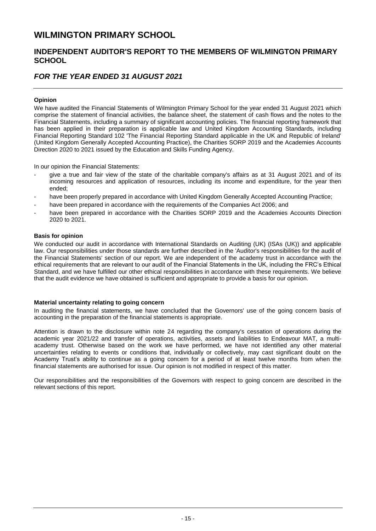### **INDEPENDENT AUDITOR'S REPORT TO THE MEMBERS OF WILMINGTON PRIMARY SCHOOL**

# *FOR THE YEAR ENDED 31 AUGUST 2021*

### **Opinion**

We have audited the Financial Statements of Wilmington Primary School for the year ended 31 August 2021 which comprise the statement of financial activities, the balance sheet, the statement of cash flows and the notes to the Financial Statements, including a summary of significant accounting policies. The financial reporting framework that has been applied in their preparation is applicable law and United Kingdom Accounting Standards, including Financial Reporting Standard 102 'The Financial Reporting Standard applicable in the UK and Republic of Ireland' (United Kingdom Generally Accepted Accounting Practice), the Charities SORP 2019 and the Academies Accounts Direction 2020 to 2021 issued by the Education and Skills Funding Agency.

In our opinion the Financial Statements:

- give a true and fair view of the state of the charitable company's affairs as at 31 August 2021 and of its incoming resources and application of resources, including its income and expenditure, for the year then ended;
- have been properly prepared in accordance with United Kingdom Generally Accepted Accounting Practice;
- have been prepared in accordance with the requirements of the Companies Act 2006; and
- have been prepared in accordance with the Charities SORP 2019 and the Academies Accounts Direction 2020 to 2021.

### **Basis for opinion**

We conducted our audit in accordance with International Standards on Auditing (UK) (ISAs (UK)) and applicable law. Our responsibilities under those standards are further described in the 'Auditor's responsibilities for the audit of the Financial Statements' section of our report. We are independent of the academy trust in accordance with the ethical requirements that are relevant to our audit of the Financial Statements in the UK, including the FRC's Ethical Standard, and we have fulfilled our other ethical responsibilities in accordance with these requirements. We believe that the audit evidence we have obtained is sufficient and appropriate to provide a basis for our opinion.

### **Material uncertainty relating to going concern**

In auditing the financial statements, we have concluded that the Governors' use of the going concern basis of accounting in the preparation of the financial statements is appropriate.

Attention is drawn to the disclosure within note 24 regarding the company's cessation of operations during the academic year 2021/22 and transfer of operations, activities, assets and liabilities to Endeavour MAT, a multiacademy trust. Otherwise based on the work we have performed, we have not identified any other material uncertainties relating to events or conditions that, individually or collectively, may cast significant doubt on the Academy Trust's ability to continue as a going concern for a period of at least twelve months from when the financial statements are authorised for issue. Our opinion is not modified in respect of this matter.

Our responsibilities and the responsibilities of the Governors with respect to going concern are described in the relevant sections of this report.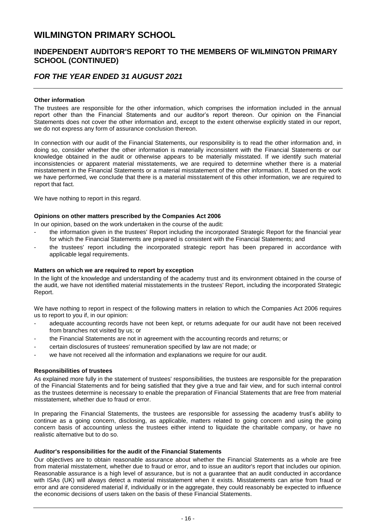### **INDEPENDENT AUDITOR'S REPORT TO THE MEMBERS OF WILMINGTON PRIMARY SCHOOL (CONTINUED)**

# *FOR THE YEAR ENDED 31 AUGUST 2021*

### **Other information**

The trustees are responsible for the other information, which comprises the information included in the annual report other than the Financial Statements and our auditor's report thereon. Our opinion on the Financial Statements does not cover the other information and, except to the extent otherwise explicitly stated in our report, we do not express any form of assurance conclusion thereon.

In connection with our audit of the Financial Statements, our responsibility is to read the other information and, in doing so, consider whether the other information is materially inconsistent with the Financial Statements or our knowledge obtained in the audit or otherwise appears to be materially misstated. If we identify such material inconsistencies or apparent material misstatements, we are required to determine whether there is a material misstatement in the Financial Statements or a material misstatement of the other information. If, based on the work we have performed, we conclude that there is a material misstatement of this other information, we are required to report that fact.

We have nothing to report in this regard.

### **Opinions on other matters prescribed by the Companies Act 2006**

In our opinion, based on the work undertaken in the course of the audit:

- the information given in the trustees' Report including the incorporated Strategic Report for the financial year for which the Financial Statements are prepared is consistent with the Financial Statements; and
- the trustees' report including the incorporated strategic report has been prepared in accordance with applicable legal requirements.

### **Matters on which we are required to report by exception**

In the light of the knowledge and understanding of the academy trust and its environment obtained in the course of the audit, we have not identified material misstatements in the trustees' Report, including the incorporated Strategic Report.

We have nothing to report in respect of the following matters in relation to which the Companies Act 2006 requires us to report to you if, in our opinion:

- adequate accounting records have not been kept, or returns adequate for our audit have not been received from branches not visited by us; or
- the Financial Statements are not in agreement with the accounting records and returns; or
- certain disclosures of trustees' remuneration specified by law are not made; or
- we have not received all the information and explanations we require for our audit.

### **Responsibilities of trustees**

As explained more fully in the statement of trustees' responsibilities, the trustees are responsible for the preparation of the Financial Statements and for being satisfied that they give a true and fair view, and for such internal control as the trustees determine is necessary to enable the preparation of Financial Statements that are free from material misstatement, whether due to fraud or error.

In preparing the Financial Statements, the trustees are responsible for assessing the academy trust's ability to continue as a going concern, disclosing, as applicable, matters related to going concern and using the going concern basis of accounting unless the trustees either intend to liquidate the charitable company, or have no realistic alternative but to do so.

### **Auditor's responsibilities for the audit of the Financial Statements**

Our objectives are to obtain reasonable assurance about whether the Financial Statements as a whole are free from material misstatement, whether due to fraud or error, and to issue an auditor's report that includes our opinion. Reasonable assurance is a high level of assurance, but is not a guarantee that an audit conducted in accordance with ISAs (UK) will always detect a material misstatement when it exists. Misstatements can arise from fraud or error and are considered material if, individually or in the aggregate, they could reasonably be expected to influence the economic decisions of users taken on the basis of these Financial Statements.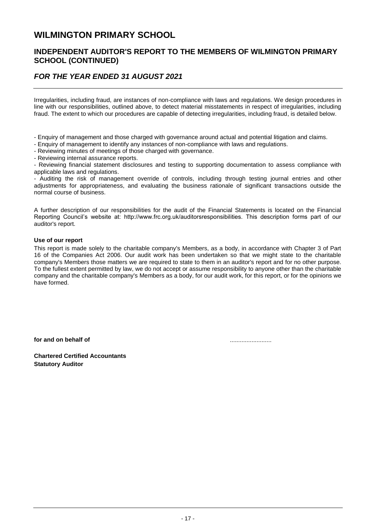### **INDEPENDENT AUDITOR'S REPORT TO THE MEMBERS OF WILMINGTON PRIMARY SCHOOL (CONTINUED)**

# *FOR THE YEAR ENDED 31 AUGUST 2021*

Irregularities, including fraud, are instances of non-compliance with laws and regulations. We design procedures in line with our responsibilities, outlined above, to detect material misstatements in respect of irregularities, including fraud. The extent to which our procedures are capable of detecting irregularities, including fraud, is detailed below.

- Enquiry of management and those charged with governance around actual and potential litigation and claims.

- Enquiry of management to identify any instances of non-compliance with laws and regulations.

- Reviewing minutes of meetings of those charged with governance.

- Reviewing internal assurance reports.

- Reviewing financial statement disclosures and testing to supporting documentation to assess compliance with applicable laws and regulations.

- Auditing the risk of management override of controls, including through testing journal entries and other adjustments for appropriateness, and evaluating the business rationale of significant transactions outside the normal course of business.

A further description of our responsibilities for the audit of the Financial Statements is located on the Financial Reporting Council's website at: http://www.frc.org.uk/auditorsresponsibilities. This description forms part of our auditor's report.

### **Use of our report**

This report is made solely to the charitable company's Members, as a body, in accordance with Chapter 3 of Part 16 of the Companies Act 2006. Our audit work has been undertaken so that we might state to the charitable company's Members those matters we are required to state to them in an auditor's report and for no other purpose. To the fullest extent permitted by law, we do not accept or assume responsibility to anyone other than the charitable company and the charitable company's Members as a body, for our audit work, for this report, or for the opinions we have formed.

**for and on behalf of** .........................

**Chartered Certified Accountants Statutory Auditor**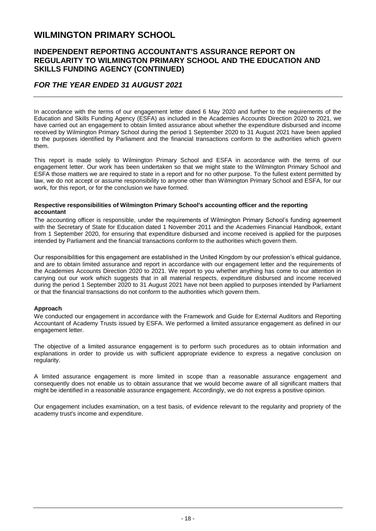### **INDEPENDENT REPORTING ACCOUNTANT'S ASSURANCE REPORT ON REGULARITY TO WILMINGTON PRIMARY SCHOOL AND THE EDUCATION AND SKILLS FUNDING AGENCY (CONTINUED)**

# *FOR THE YEAR ENDED 31 AUGUST 2021*

In accordance with the terms of our engagement letter dated 6 May 2020 and further to the requirements of the Education and Skills Funding Agency (ESFA) as included in the Academies Accounts Direction 2020 to 2021, we have carried out an engagement to obtain limited assurance about whether the expenditure disbursed and income received by Wilmington Primary School during the period 1 September 2020 to 31 August 2021 have been applied to the purposes identified by Parliament and the financial transactions conform to the authorities which govern them.

This report is made solely to Wilmington Primary School and ESFA in accordance with the terms of our engagement letter. Our work has been undertaken so that we might state to the Wilmington Primary School and ESFA those matters we are required to state in a report and for no other purpose. To the fullest extent permitted by law, we do not accept or assume responsibility to anyone other than Wilmington Primary School and ESFA, for our work, for this report, or for the conclusion we have formed.

### **Respective responsibilities of Wilmington Primary School's accounting officer and the reporting accountant**

The accounting officer is responsible, under the requirements of Wilmington Primary School's funding agreement with the Secretary of State for Education dated 1 November 2011 and the Academies Financial Handbook, extant from 1 September 2020, for ensuring that expenditure disbursed and income received is applied for the purposes intended by Parliament and the financial transactions conform to the authorities which govern them.

Our responsibilities for this engagement are established in the United Kingdom by our profession's ethical guidance, and are to obtain limited assurance and report in accordance with our engagement letter and the requirements of the Academies Accounts Direction 2020 to 2021. We report to you whether anything has come to our attention in carrying out our work which suggests that in all material respects, expenditure disbursed and income received during the period 1 September 2020 to 31 August 2021 have not been applied to purposes intended by Parliament or that the financial transactions do not conform to the authorities which govern them.

### **Approach**

We conducted our engagement in accordance with the Framework and Guide for External Auditors and Reporting Accountant of Academy Trusts issued by ESFA. We performed a limited assurance engagement as defined in our engagement letter.

The objective of a limited assurance engagement is to perform such procedures as to obtain information and explanations in order to provide us with sufficient appropriate evidence to express a negative conclusion on regularity.

A limited assurance engagement is more limited in scope than a reasonable assurance engagement and consequently does not enable us to obtain assurance that we would become aware of all significant matters that might be identified in a reasonable assurance engagement. Accordingly, we do not express a positive opinion.

Our engagement includes examination, on a test basis, of evidence relevant to the regularity and propriety of the academy trust's income and expenditure.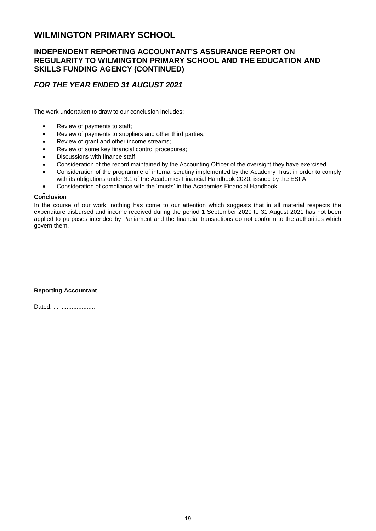# **INDEPENDENT REPORTING ACCOUNTANT'S ASSURANCE REPORT ON REGULARITY TO WILMINGTON PRIMARY SCHOOL AND THE EDUCATION AND SKILLS FUNDING AGENCY (CONTINUED)**

# *FOR THE YEAR ENDED 31 AUGUST 2021*

The work undertaken to draw to our conclusion includes:

- Review of payments to staff;
- Review of payments to suppliers and other third parties;
- Review of grant and other income streams;
- Review of some key financial control procedures;
- Discussions with finance staff;
- Consideration of the record maintained by the Accounting Officer of the oversight they have exercised;
- Consideration of the programme of internal scrutiny implemented by the Academy Trust in order to comply with its obligations under 3.1 of the Academies Financial Handbook 2020, issued by the ESFA.
- Consideration of compliance with the 'musts' in the Academies Financial Handbook.

### **Conclusion**

In the course of our work, nothing has come to our attention which suggests that in all material respects the expenditure disbursed and income received during the period 1 September 2020 to 31 August 2021 has not been applied to purposes intended by Parliament and the financial transactions do not conform to the authorities which govern them.

### **Reporting Accountant**

Dated: ..........................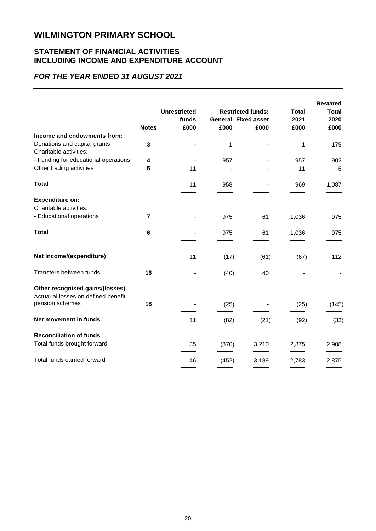# **STATEMENT OF FINANCIAL ACTIVITIES INCLUDING INCOME AND EXPENDITURE ACCOUNT**

# *FOR THE YEAR ENDED 31 AUGUST 2021*

|                                                                        | <b>Notes</b>   | <b>Unrestricted</b><br>funds<br>£000 | £000  | <b>Restricted funds:</b><br><b>General Fixed asset</b><br>£000 | <b>Total</b><br>2021<br>£000 | <b>Restated</b><br><b>Total</b><br>2020<br>£000 |
|------------------------------------------------------------------------|----------------|--------------------------------------|-------|----------------------------------------------------------------|------------------------------|-------------------------------------------------|
| Income and endowments from:                                            |                |                                      |       |                                                                |                              |                                                 |
| Donations and capital grants<br>Charitable activities:                 | 3              |                                      | 1     |                                                                | 1                            | 179                                             |
| - Funding for educational operations                                   | 4              |                                      | 957   |                                                                | 957                          | 902                                             |
| Other trading activities                                               | 5              | 11                                   |       |                                                                | 11                           | 6                                               |
| <b>Total</b>                                                           |                | 11                                   | 958   | $\overline{\phantom{a}}$                                       | 969                          | 1,087                                           |
| <b>Expenditure on:</b><br>Charitable activities:                       |                |                                      |       |                                                                |                              |                                                 |
| - Educational operations                                               | $\overline{7}$ |                                      | 975   | 61                                                             | 1,036                        | 975                                             |
| <b>Total</b>                                                           | 6              |                                      | 975   | 61                                                             | 1,036                        | 975                                             |
| Net income/(expenditure)                                               |                | 11                                   | (17)  | (61)                                                           | (67)                         | 112                                             |
| Transfers between funds                                                | 16             |                                      | (40)  | 40                                                             |                              |                                                 |
| Other recognised gains/(losses)<br>Actuarial losses on defined benefit |                |                                      |       |                                                                |                              |                                                 |
| pension schemes                                                        | 18             |                                      | (25)  |                                                                | (25)                         | (145)                                           |
| Net movement in funds                                                  |                | 11                                   | (82)  | (21)                                                           | (92)                         | (33)                                            |
| <b>Reconciliation of funds</b>                                         |                |                                      |       |                                                                |                              |                                                 |
| Total funds brought forward                                            |                | 35                                   | (370) | 3,210                                                          | 2,875                        | 2,908                                           |
| Total funds carried forward                                            |                | 46                                   | (452) | 3,189                                                          | 2,783                        | 2,875                                           |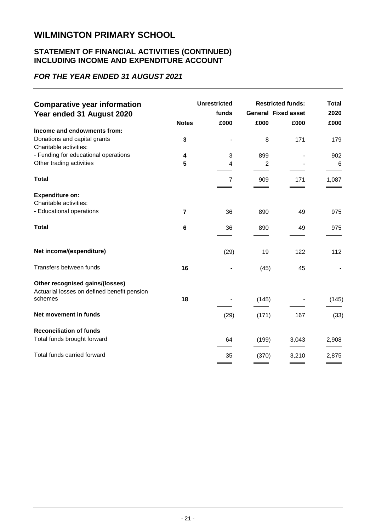### **STATEMENT OF FINANCIAL ACTIVITIES (CONTINUED) INCLUDING INCOME AND EXPENDITURE ACCOUNT**

# *FOR THE YEAR ENDED 31 AUGUST 2021*

| <b>Comparative year information</b><br>Year ended 31 August 2020               |                | <b>Unrestricted</b><br>funds |                | <b>Restricted funds:</b><br><b>General Fixed asset</b> | <b>Total</b><br>2020 |
|--------------------------------------------------------------------------------|----------------|------------------------------|----------------|--------------------------------------------------------|----------------------|
|                                                                                | <b>Notes</b>   | £000                         | £000           | £000                                                   | £000                 |
| Income and endowments from:                                                    |                |                              |                |                                                        |                      |
| Donations and capital grants<br>Charitable activities:                         | 3              |                              | 8              | 171                                                    | 179                  |
| - Funding for educational operations                                           | 4              | 3                            | 899            |                                                        | 902                  |
| Other trading activities                                                       | 5              | 4                            | $\overline{2}$ |                                                        | 6                    |
| <b>Total</b>                                                                   |                | $\overline{7}$               | 909            | 171                                                    | 1,087                |
| <b>Expenditure on:</b><br>Charitable activities:                               |                |                              |                |                                                        |                      |
| - Educational operations                                                       | $\overline{7}$ | 36                           | 890            | 49                                                     | 975                  |
| <b>Total</b>                                                                   | 6              | 36                           | 890            | 49                                                     | 975                  |
| Net income/(expenditure)                                                       |                | (29)                         | 19             | 122                                                    | 112                  |
| Transfers between funds                                                        | 16             |                              | (45)           | 45                                                     |                      |
| Other recognised gains/(losses)<br>Actuarial losses on defined benefit pension |                |                              |                |                                                        |                      |
| schemes                                                                        | 18             |                              | (145)          |                                                        | (145)                |
| Net movement in funds                                                          |                | (29)                         | (171)          | 167                                                    | (33)                 |
| <b>Reconciliation of funds</b>                                                 |                |                              |                |                                                        |                      |
| Total funds brought forward                                                    |                | 64                           | (199)          | 3,043                                                  | 2,908                |
| Total funds carried forward                                                    |                | 35                           | (370)          | 3,210                                                  | 2,875                |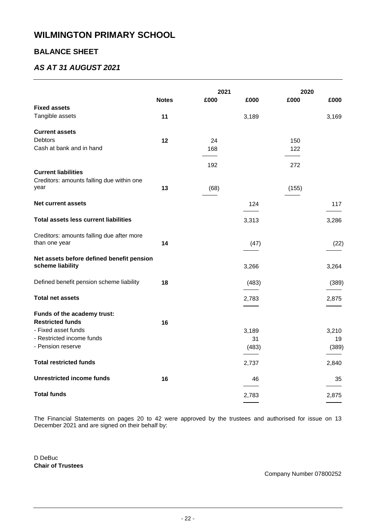# **BALANCE SHEET**

# *AS AT 31 AUGUST 2021*

|                                              |              | 2021 |       | 2020  |       |
|----------------------------------------------|--------------|------|-------|-------|-------|
|                                              | <b>Notes</b> | £000 | £000  | £000  | £000  |
| <b>Fixed assets</b><br>Tangible assets       | 11           |      |       |       |       |
|                                              |              |      | 3,189 |       | 3,169 |
| <b>Current assets</b>                        |              |      |       |       |       |
| <b>Debtors</b>                               | 12           | 24   |       | 150   |       |
| Cash at bank and in hand                     |              | 168  |       | 122   |       |
|                                              |              |      |       |       |       |
|                                              |              | 192  |       | 272   |       |
| <b>Current liabilities</b>                   |              |      |       |       |       |
| Creditors: amounts falling due within one    |              |      |       |       |       |
| year                                         | 13           | (68) |       | (155) |       |
| <b>Net current assets</b>                    |              |      | 124   |       | 117   |
|                                              |              |      |       |       |       |
| <b>Total assets less current liabilities</b> |              |      | 3,313 |       | 3,286 |
| Creditors: amounts falling due after more    |              |      |       |       |       |
| than one year                                | 14           |      | (47)  |       | (22)  |
|                                              |              |      |       |       |       |
| Net assets before defined benefit pension    |              |      |       |       |       |
| scheme liability                             |              |      | 3,266 |       | 3,264 |
|                                              |              |      |       |       |       |
| Defined benefit pension scheme liability     | 18           |      | (483) |       | (389) |
| <b>Total net assets</b>                      |              |      |       |       |       |
|                                              |              |      | 2,783 |       | 2,875 |
| Funds of the academy trust:                  |              |      |       |       |       |
| <b>Restricted funds</b>                      | 16           |      |       |       |       |
| - Fixed asset funds                          |              |      | 3,189 |       | 3,210 |
| - Restricted income funds                    |              |      | 31    |       | 19    |
| - Pension reserve                            |              |      | (483) |       | (389) |
|                                              |              |      |       |       |       |
| <b>Total restricted funds</b>                |              |      | 2,737 |       | 2,840 |
| <b>Unrestricted income funds</b>             | 16           |      | 46    |       | 35    |
| <b>Total funds</b>                           |              |      | 2,783 |       | 2,875 |
|                                              |              |      |       |       |       |

The Financial Statements on pages 20 to 42 were approved by the trustees and authorised for issue on 13 December 2021 and are signed on their behalf by:

D DeBuc **Chair of Trustees**

Company Number 07800252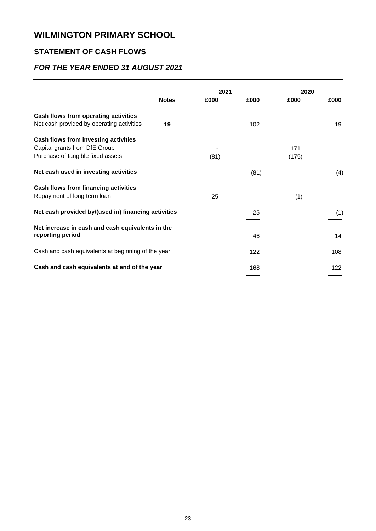# **STATEMENT OF CASH FLOWS**

# *FOR THE YEAR ENDED 31 AUGUST 2021*

|                                                     |              | 2021 |      | 2020  |      |
|-----------------------------------------------------|--------------|------|------|-------|------|
|                                                     | <b>Notes</b> | £000 | £000 | £000  | £000 |
| Cash flows from operating activities                |              |      |      |       |      |
| Net cash provided by operating activities           | 19           |      | 102  |       | 19   |
| Cash flows from investing activities                |              |      |      |       |      |
| Capital grants from DfE Group                       |              |      |      | 171   |      |
| Purchase of tangible fixed assets                   |              | (81) |      | (175) |      |
|                                                     |              |      |      |       |      |
| Net cash used in investing activities               |              |      | (81) |       | (4)  |
|                                                     |              |      |      |       |      |
| Cash flows from financing activities                |              |      |      |       |      |
| Repayment of long term loan                         |              | 25   |      | (1)   |      |
|                                                     |              |      |      |       |      |
| Net cash provided by/(used in) financing activities |              |      | 25   |       | (1)  |
|                                                     |              |      |      |       |      |
| Net increase in cash and cash equivalents in the    |              |      |      |       |      |
| reporting period                                    |              |      | 46   |       | 14   |
|                                                     |              |      |      |       |      |
| Cash and cash equivalents at beginning of the year  |              |      | 122  |       | 108  |
|                                                     |              |      |      |       |      |
| Cash and cash equivalents at end of the year        |              |      | 168  |       | 122  |
|                                                     |              |      |      |       |      |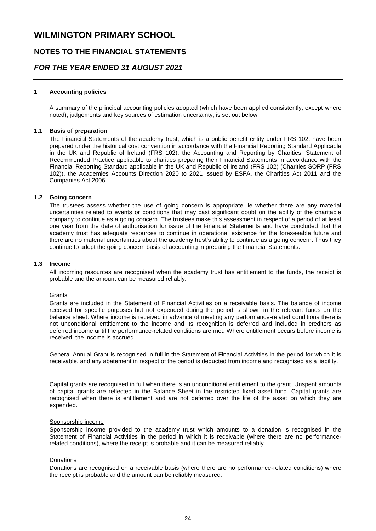# **NOTES TO THE FINANCIAL STATEMENTS**

### *FOR THE YEAR ENDED 31 AUGUST 2021*

### **1 Accounting policies**

A summary of the principal accounting policies adopted (which have been applied consistently, except where noted), judgements and key sources of estimation uncertainty, is set out below.

#### **1.1 Basis of preparation**

The Financial Statements of the academy trust, which is a public benefit entity under FRS 102, have been prepared under the historical cost convention in accordance with the Financial Reporting Standard Applicable in the UK and Republic of Ireland (FRS 102), the Accounting and Reporting by Charities: Statement of Recommended Practice applicable to charities preparing their Financial Statements in accordance with the Financial Reporting Standard applicable in the UK and Republic of Ireland (FRS 102) (Charities SORP (FRS 102)), the Academies Accounts Direction 2020 to 2021 issued by ESFA, the Charities Act 2011 and the Companies Act 2006.

### **1.2 Going concern**

The trustees assess whether the use of going concern is appropriate, ie whether there are any material uncertainties related to events or conditions that may cast significant doubt on the ability of the charitable company to continue as a going concern. The trustees make this assessment in respect of a period of at least one year from the date of authorisation for issue of the Financial Statements and have concluded that the academy trust has adequate resources to continue in operational existence for the foreseeable future and there are no material uncertainties about the academy trust's ability to continue as a going concern. Thus they continue to adopt the going concern basis of accounting in preparing the Financial Statements.

#### **1.3 Income**

All incoming resources are recognised when the academy trust has entitlement to the funds, the receipt is probable and the amount can be measured reliably.

#### **Grants**

Grants are included in the Statement of Financial Activities on a receivable basis. The balance of income received for specific purposes but not expended during the period is shown in the relevant funds on the balance sheet. Where income is received in advance of meeting any performance-related conditions there is not unconditional entitlement to the income and its recognition is deferred and included in creditors as deferred income until the performance-related conditions are met. Where entitlement occurs before income is received, the income is accrued.

General Annual Grant is recognised in full in the Statement of Financial Activities in the period for which it is receivable, and any abatement in respect of the period is deducted from income and recognised as a liability.

Capital grants are recognised in full when there is an unconditional entitlement to the grant. Unspent amounts of capital grants are reflected in the Balance Sheet in the restricted fixed asset fund. Capital grants are recognised when there is entitlement and are not deferred over the life of the asset on which they are expended.

#### Sponsorship income

Sponsorship income provided to the academy trust which amounts to a donation is recognised in the Statement of Financial Activities in the period in which it is receivable (where there are no performancerelated conditions), where the receipt is probable and it can be measured reliably.

#### Donations

Donations are recognised on a receivable basis (where there are no performance-related conditions) where the receipt is probable and the amount can be reliably measured.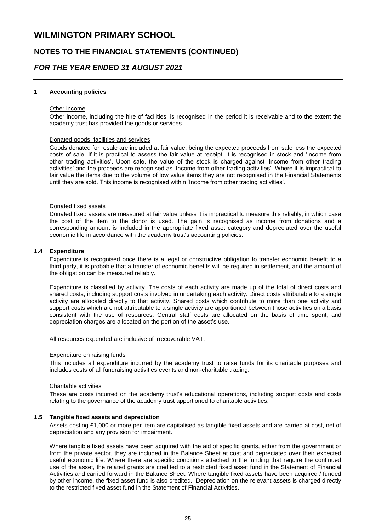# **NOTES TO THE FINANCIAL STATEMENTS (CONTINUED)**

# *FOR THE YEAR ENDED 31 AUGUST 2021*

### **1 Accounting policies**

#### Other income

Other income, including the hire of facilities, is recognised in the period it is receivable and to the extent the academy trust has provided the goods or services.

#### Donated goods, facilities and services

Goods donated for resale are included at fair value, being the expected proceeds from sale less the expected costs of sale. If it is practical to assess the fair value at receipt, it is recognised in stock and 'Income from other trading activities'. Upon sale, the value of the stock is charged against 'Income from other trading activities' and the proceeds are recognised as 'Income from other trading activities'. Where it is impractical to fair value the items due to the volume of low value items they are not recognised in the Financial Statements until they are sold. This income is recognised within 'Income from other trading activities'.

### Donated fixed assets

Donated fixed assets are measured at fair value unless it is impractical to measure this reliably, in which case the cost of the item to the donor is used. The gain is recognised as income from donations and a corresponding amount is included in the appropriate fixed asset category and depreciated over the useful economic life in accordance with the academy trust's accounting policies.

### **1.4 Expenditure**

Expenditure is recognised once there is a legal or constructive obligation to transfer economic benefit to a third party, it is probable that a transfer of economic benefits will be required in settlement, and the amount of the obligation can be measured reliably.

Expenditure is classified by activity. The costs of each activity are made up of the total of direct costs and shared costs, including support costs involved in undertaking each activity. Direct costs attributable to a single activity are allocated directly to that activity. Shared costs which contribute to more than one activity and support costs which are not attributable to a single activity are apportioned between those activities on a basis consistent with the use of resources. Central staff costs are allocated on the basis of time spent, and depreciation charges are allocated on the portion of the asset's use.

All resources expended are inclusive of irrecoverable VAT.

### Expenditure on raising funds

This includes all expenditure incurred by the academy trust to raise funds for its charitable purposes and includes costs of all fundraising activities events and non-charitable trading.

### Charitable activities

These are costs incurred on the academy trust's educational operations, including support costs and costs relating to the governance of the academy trust apportioned to charitable activities.

### **1.5 Tangible fixed assets and depreciation**

Assets costing £1,000 or more per item are capitalised as tangible fixed assets and are carried at cost, net of depreciation and any provision for impairment.

Where tangible fixed assets have been acquired with the aid of specific grants, either from the government or from the private sector, they are included in the Balance Sheet at cost and depreciated over their expected useful economic life. Where there are specific conditions attached to the funding that require the continued use of the asset, the related grants are credited to a restricted fixed asset fund in the Statement of Financial Activities and carried forward in the Balance Sheet. Where tangible fixed assets have been acquired / funded by other income, the fixed asset fund is also credited. Depreciation on the relevant assets is charged directly to the restricted fixed asset fund in the Statement of Financial Activities.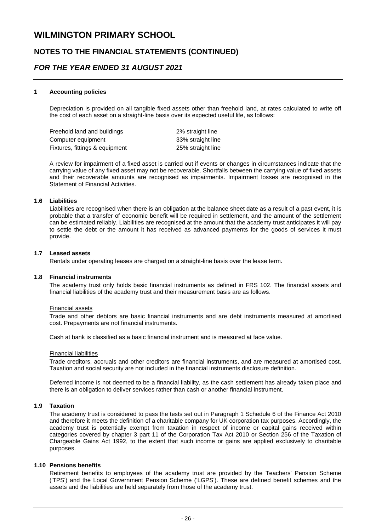# **NOTES TO THE FINANCIAL STATEMENTS (CONTINUED)**

# *FOR THE YEAR ENDED 31 AUGUST 2021*

### **1 Accounting policies**

Depreciation is provided on all tangible fixed assets other than freehold land, at rates calculated to write off the cost of each asset on a straight-line basis over its expected useful life, as follows:

Freehold land and buildings **2%** straight line Computer equipment 33% straight line Fixtures, fittings & equipment 25% straight line

A review for impairment of a fixed asset is carried out if events or changes in circumstances indicate that the carrying value of any fixed asset may not be recoverable. Shortfalls between the carrying value of fixed assets and their recoverable amounts are recognised as impairments. Impairment losses are recognised in the Statement of Financial Activities.

### **1.6 Liabilities**

Liabilities are recognised when there is an obligation at the balance sheet date as a result of a past event, it is probable that a transfer of economic benefit will be required in settlement, and the amount of the settlement can be estimated reliably. Liabilities are recognised at the amount that the academy trust anticipates it will pay to settle the debt or the amount it has received as advanced payments for the goods of services it must provide.

### **1.7 Leased assets**

Rentals under operating leases are charged on a straight-line basis over the lease term.

### **1.8 Financial instruments**

The academy trust only holds basic financial instruments as defined in FRS 102. The financial assets and financial liabilities of the academy trust and their measurement basis are as follows.

### Financial assets

Trade and other debtors are basic financial instruments and are debt instruments measured at amortised cost. Prepayments are not financial instruments.

Cash at bank is classified as a basic financial instrument and is measured at face value.

#### Financial liabilities

Trade creditors, accruals and other creditors are financial instruments, and are measured at amortised cost. Taxation and social security are not included in the financial instruments disclosure definition.

Deferred income is not deemed to be a financial liability, as the cash settlement has already taken place and there is an obligation to deliver services rather than cash or another financial instrument.

### **1.9 Taxation**

The academy trust is considered to pass the tests set out in Paragraph 1 Schedule 6 of the Finance Act 2010 and therefore it meets the definition of a charitable company for UK corporation tax purposes. Accordingly, the academy trust is potentially exempt from taxation in respect of income or capital gains received within categories covered by chapter 3 part 11 of the Corporation Tax Act 2010 or Section 256 of the Taxation of Chargeable Gains Act 1992, to the extent that such income or gains are applied exclusively to charitable purposes.

### **1.10 Pensions benefits**

Retirement benefits to employees of the academy trust are provided by the Teachers' Pension Scheme ('TPS') and the Local Government Pension Scheme ('LGPS'). These are defined benefit schemes and the assets and the liabilities are held separately from those of the academy trust.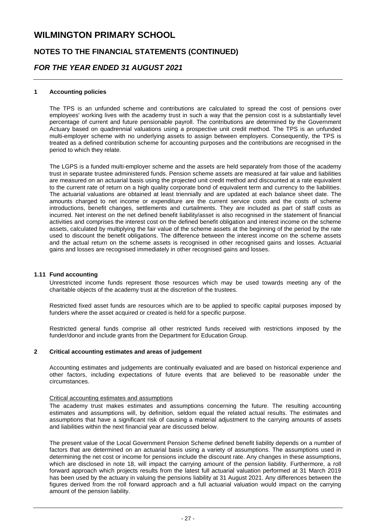# **NOTES TO THE FINANCIAL STATEMENTS (CONTINUED)**

# *FOR THE YEAR ENDED 31 AUGUST 2021*

### **1 Accounting policies**

The TPS is an unfunded scheme and contributions are calculated to spread the cost of pensions over employees' working lives with the academy trust in such a way that the pension cost is a substantially level percentage of current and future pensionable payroll. The contributions are determined by the Government Actuary based on quadrennial valuations using a prospective unit credit method. The TPS is an unfunded multi-employer scheme with no underlying assets to assign between employers. Consequently, the TPS is treated as a defined contribution scheme for accounting purposes and the contributions are recognised in the period to which they relate.

The LGPS is a funded multi-employer scheme and the assets are held separately from those of the academy trust in separate trustee administered funds. Pension scheme assets are measured at fair value and liabilities are measured on an actuarial basis using the projected unit credit method and discounted at a rate equivalent to the current rate of return on a high quality corporate bond of equivalent term and currency to the liabilities. The actuarial valuations are obtained at least triennially and are updated at each balance sheet date. The amounts charged to net income or expenditure are the current service costs and the costs of scheme introductions, benefit changes, settlements and curtailments. They are included as part of staff costs as incurred. Net interest on the net defined benefit liability/asset is also recognised in the statement of financial activities and comprises the interest cost on the defined benefit obligation and interest income on the scheme assets, calculated by multiplying the fair value of the scheme assets at the beginning of the period by the rate used to discount the benefit obligations. The difference between the interest income on the scheme assets and the actual return on the scheme assets is recognised in other recognised gains and losses. Actuarial gains and losses are recognised immediately in other recognised gains and losses.

### **1.11 Fund accounting**

Unrestricted income funds represent those resources which may be used towards meeting any of the charitable objects of the academy trust at the discretion of the trustees.

Restricted fixed asset funds are resources which are to be applied to specific capital purposes imposed by funders where the asset acquired or created is held for a specific purpose.

Restricted general funds comprise all other restricted funds received with restrictions imposed by the funder/donor and include grants from the Department for Education Group.

### **2 Critical accounting estimates and areas of judgement**

Accounting estimates and judgements are continually evaluated and are based on historical experience and other factors, including expectations of future events that are believed to be reasonable under the circumstances.

#### Critical accounting estimates and assumptions

The academy trust makes estimates and assumptions concerning the future. The resulting accounting estimates and assumptions will, by definition, seldom equal the related actual results. The estimates and assumptions that have a significant risk of causing a material adjustment to the carrying amounts of assets and liabilities within the next financial year are discussed below.

The present value of the Local Government Pension Scheme defined benefit liability depends on a number of factors that are determined on an actuarial basis using a variety of assumptions. The assumptions used in determining the net cost or income for pensions include the discount rate. Any changes in these assumptions, which are disclosed in note 18, will impact the carrying amount of the pension liability. Furthermore, a roll forward approach which projects results from the latest full actuarial valuation performed at 31 March 2019 has been used by the actuary in valuing the pensions liability at 31 August 2021. Any differences between the figures derived from the roll forward approach and a full actuarial valuation would impact on the carrying amount of the pension liability.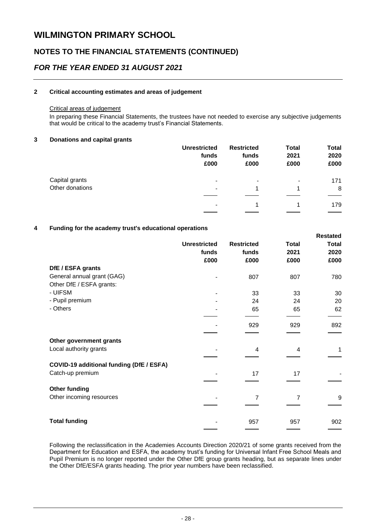# **NOTES TO THE FINANCIAL STATEMENTS (CONTINUED)**

# *FOR THE YEAR ENDED 31 AUGUST 2021*

### **2 Critical accounting estimates and areas of judgement**

### Critical areas of judgement

In preparing these Financial Statements, the trustees have not needed to exercise any subjective judgements that would be critical to the academy trust's Financial Statements.

### **3 Donations and capital grants**

|                 | <b>Unrestricted</b><br>funds<br>£000 | <b>Restricted</b><br>funds<br>£000 | <b>Total</b><br>2021<br>£000 | <b>Total</b><br>2020<br>£000 |
|-----------------|--------------------------------------|------------------------------------|------------------------------|------------------------------|
| Capital grants  | $\blacksquare$                       | $\overline{\phantom{0}}$           | $\blacksquare$               | 171                          |
| Other donations | $\blacksquare$                       | 4                                  |                              | 8                            |
|                 |                                      |                                    |                              |                              |
|                 | $\blacksquare$                       | 4                                  |                              | 179                          |
|                 |                                      |                                    |                              |                              |

### **4 Funding for the academy trust's educational operations**

|                                          |                     |                   |              | <b>Restated</b> |
|------------------------------------------|---------------------|-------------------|--------------|-----------------|
|                                          | <b>Unrestricted</b> | <b>Restricted</b> | <b>Total</b> | <b>Total</b>    |
|                                          | funds               | funds             | 2021         | 2020            |
|                                          | £000                | £000              | £000         | £000            |
| DfE / ESFA grants                        |                     |                   |              |                 |
| General annual grant (GAG)               |                     | 807               | 807          | 780             |
| Other DfE / ESFA grants:                 |                     |                   |              |                 |
| - UIFSM                                  |                     | 33                | 33           | 30              |
| - Pupil premium                          |                     | 24                | 24           | 20              |
| - Others                                 |                     |                   |              |                 |
|                                          |                     | 65                | 65           | 62              |
|                                          |                     | 929               | 929          | 892             |
|                                          |                     |                   |              |                 |
|                                          |                     |                   |              |                 |
| Other government grants                  |                     |                   |              |                 |
| Local authority grants                   |                     | 4                 | 4            | 1               |
|                                          |                     |                   |              |                 |
| COVID-19 additional funding (DfE / ESFA) |                     |                   |              |                 |
| Catch-up premium                         |                     | 17                | 17           |                 |
|                                          |                     |                   |              |                 |
| <b>Other funding</b>                     |                     |                   |              |                 |
| Other incoming resources                 |                     | 7                 | 7            | 9               |
|                                          |                     |                   |              |                 |
|                                          |                     |                   |              |                 |
| <b>Total funding</b>                     |                     | 957               | 957          | 902             |

Following the reclassification in the Academies Accounts Direction 2020/21 of some grants received from the Department for Education and ESFA, the academy trust's funding for Universal Infant Free School Meals and Pupil Premium is no longer reported under the Other DfE group grants heading, but as separate lines under the Other DfE/ESFA grants heading. The prior year numbers have been reclassified.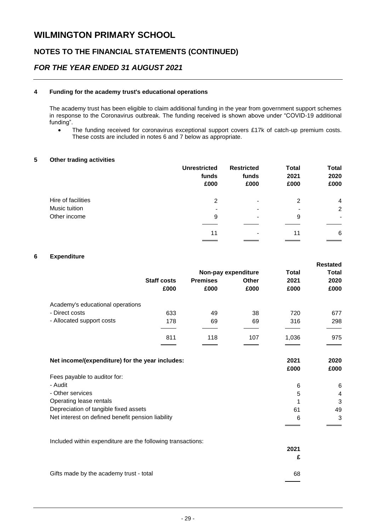# **NOTES TO THE FINANCIAL STATEMENTS (CONTINUED)**

# *FOR THE YEAR ENDED 31 AUGUST 2021*

### **4 Funding for the academy trust's educational operations**

The academy trust has been eligible to claim additional funding in the year from government support schemes in response to the Coronavirus outbreak. The funding received is shown above under "COVID-19 additional funding".

• The funding received for coronavirus exceptional support covers £17k of catch-up premium costs. These costs are included in notes 6 and 7 below as appropriate.

### **5 Other trading activities**

|                    | <b>Unrestricted</b><br>funds<br>£000 | <b>Restricted</b><br>funds<br>£000 | <b>Total</b><br>2021<br>£000 | <b>Total</b><br>2020<br>£000 |
|--------------------|--------------------------------------|------------------------------------|------------------------------|------------------------------|
| Hire of facilities | $\overline{2}$                       | $\,$                               | 2                            | 4                            |
| Music tuition      | $\blacksquare$                       | -                                  | $\blacksquare$               | $\overline{2}$               |
| Other income       | 9                                    |                                    | 9                            |                              |
|                    |                                      |                                    |                              |                              |
|                    | 11                                   | $\,$                               | 11                           | 6                            |
|                    |                                      |                                    |                              |                              |

**Restated**

### **6 Expenditure**

|                                                             |                    |                 |                     |              | nesialeu     |
|-------------------------------------------------------------|--------------------|-----------------|---------------------|--------------|--------------|
|                                                             |                    |                 | Non-pay expenditure | <b>Total</b> | <b>Total</b> |
|                                                             | <b>Staff costs</b> | <b>Premises</b> | Other               | 2021         | 2020         |
|                                                             | £000               | £000            | £000                | £000         | £000         |
|                                                             |                    |                 |                     |              |              |
| Academy's educational operations                            |                    |                 |                     |              |              |
| - Direct costs                                              | 633                | 49              | 38                  | 720          | 677          |
| - Allocated support costs                                   | 178                | 69              | 69                  | 316          | 298          |
|                                                             |                    |                 |                     |              |              |
|                                                             | 811                | 118             | 107                 | 1,036        | 975          |
|                                                             |                    |                 |                     |              |              |
|                                                             |                    |                 |                     |              |              |
| Net income/(expenditure) for the year includes:             |                    |                 |                     | 2021         | 2020         |
|                                                             |                    |                 |                     | £000         | £000         |
| Fees payable to auditor for:                                |                    |                 |                     |              |              |
| - Audit                                                     |                    |                 |                     | 6            | 6            |
| - Other services                                            |                    |                 |                     | 5            | 4            |
| Operating lease rentals                                     |                    |                 |                     | 1            | 3            |
| Depreciation of tangible fixed assets                       |                    |                 |                     | 61           | 49           |
| Net interest on defined benefit pension liability           |                    |                 |                     | 6            | 3            |
|                                                             |                    |                 |                     |              |              |
|                                                             |                    |                 |                     |              |              |
| Included within expenditure are the following transactions: |                    |                 |                     |              |              |
|                                                             |                    |                 |                     | 2021         |              |
|                                                             |                    |                 |                     | £            |              |
|                                                             |                    |                 |                     |              |              |
| Gifts made by the academy trust - total                     |                    |                 |                     | 68           |              |
|                                                             |                    |                 |                     |              |              |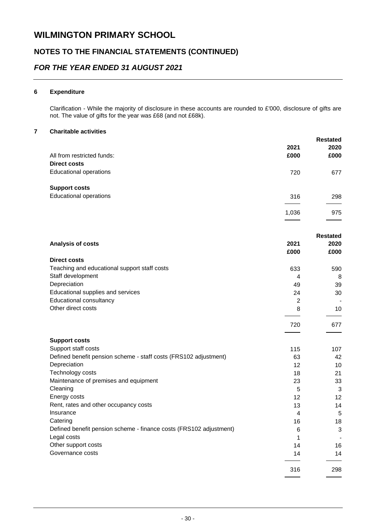# **NOTES TO THE FINANCIAL STATEMENTS (CONTINUED)**

# *FOR THE YEAR ENDED 31 AUGUST 2021*

### **6 Expenditure**

Clarification - While the majority of disclosure in these accounts are rounded to £'000, disclosure of gifts are not. The value of gifts for the year was £68 (and not £68k).

### **7 Charitable activities**

|                                                                    |                | <b>Restated</b> |
|--------------------------------------------------------------------|----------------|-----------------|
|                                                                    | 2021           | 2020            |
| All from restricted funds:                                         | £000           | £000            |
| <b>Direct costs</b>                                                |                |                 |
| <b>Educational operations</b>                                      | 720            | 677             |
| <b>Support costs</b>                                               |                |                 |
| <b>Educational operations</b>                                      | 316            | 298             |
|                                                                    |                |                 |
|                                                                    | 1,036          | 975             |
|                                                                    |                |                 |
|                                                                    |                | <b>Restated</b> |
| Analysis of costs                                                  | 2021           | 2020            |
| <b>Direct costs</b>                                                | £000           | £000            |
|                                                                    |                |                 |
| Teaching and educational support staff costs                       | 633            | 590             |
| Staff development<br>Depreciation                                  | 4              | 8               |
| Educational supplies and services                                  | 49             | 39              |
| <b>Educational consultancy</b>                                     | 24             | 30              |
| Other direct costs                                                 | $\overline{2}$ |                 |
|                                                                    | 8              | 10              |
|                                                                    | 720            | 677             |
| <b>Support costs</b>                                               |                |                 |
| Support staff costs                                                | 115            | 107             |
| Defined benefit pension scheme - staff costs (FRS102 adjustment)   | 63             | 42              |
| Depreciation                                                       | 12             | 10              |
| Technology costs                                                   | 18             | 21              |
| Maintenance of premises and equipment                              | 23             | 33              |
| Cleaning                                                           | 5              | 3               |
| Energy costs                                                       | 12             | 12              |
| Rent, rates and other occupancy costs                              | 13             | 14              |
| Insurance                                                          | 4              | 5               |
| Catering                                                           | 16             | 18              |
| Defined benefit pension scheme - finance costs (FRS102 adjustment) | 6              | 3               |
| Legal costs                                                        | 1              |                 |
| Other support costs                                                | 14             | 16              |
| Governance costs                                                   | 14             | 14              |
|                                                                    | 316            | 298             |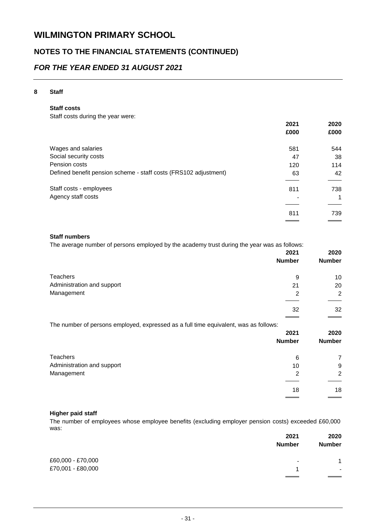# **NOTES TO THE FINANCIAL STATEMENTS (CONTINUED)**

# *FOR THE YEAR ENDED 31 AUGUST 2021*

### **8 Staff**

### **Staff costs**

Staff costs during the year were:

|                                                                  | 2021 | 2020 |
|------------------------------------------------------------------|------|------|
|                                                                  | £000 | £000 |
| Wages and salaries                                               | 581  | 544  |
| Social security costs                                            | 47   | 38   |
| Pension costs                                                    | 120  | 114  |
| Defined benefit pension scheme - staff costs (FRS102 adjustment) | 63   | 42   |
| Staff costs - employees                                          | 811  | 738  |
| Agency staff costs                                               |      |      |
|                                                                  |      |      |
|                                                                  | 811  | 739  |
|                                                                  |      |      |

### **Staff numbers**

| The average number of persons employed by the academy trust during the year was as follows: |               |               |
|---------------------------------------------------------------------------------------------|---------------|---------------|
|                                                                                             | 2021          | 2020          |
|                                                                                             | <b>Number</b> | <b>Number</b> |
| <b>Teachers</b>                                                                             | 9             | 10            |
| Administration and support                                                                  | 21            | 20            |
| Management                                                                                  | 2             | 2             |
|                                                                                             |               |               |
|                                                                                             | 32            | 32            |
| The number of persons employed, expressed as a full time equivalent, was as follows:        |               |               |
|                                                                                             | 2021          | 2020          |
|                                                                                             | <b>Number</b> | <b>Number</b> |
| <b>Teachers</b>                                                                             | 6             | 7             |
| Administration and support                                                                  | 10            | 9             |
| Management                                                                                  | 2             | 2             |
|                                                                                             |               |               |
|                                                                                             |               |               |
|                                                                                             | 18            | 18            |

### **Higher paid staff**

The number of employees whose employee benefits (excluding employer pension costs) exceeded £60,000 was:

|                   | 2021           | 2020                     |
|-------------------|----------------|--------------------------|
|                   | <b>Number</b>  | <b>Number</b>            |
| £60,000 - £70,000 | $\blacksquare$ | 1                        |
| £70,001 - £80,000 |                | $\overline{\phantom{a}}$ |
|                   |                |                          |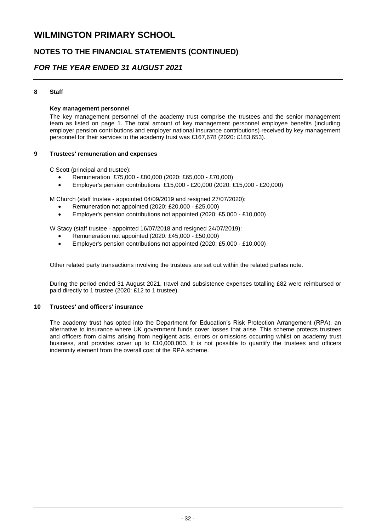# **NOTES TO THE FINANCIAL STATEMENTS (CONTINUED)**

# *FOR THE YEAR ENDED 31 AUGUST 2021*

### **8 Staff**

### **Key management personnel**

The key management personnel of the academy trust comprise the trustees and the senior management team as listed on page 1. The total amount of key management personnel employee benefits (including employer pension contributions and employer national insurance contributions) received by key management personnel for their services to the academy trust was £167,678 (2020: £183,653).

### **9 Trustees' remuneration and expenses**

C Scott (principal and trustee):

- Remuneration £75,000 £80,000 (2020: £65,000 £70,000)
- Employer's pension contributions £15,000 £20,000 (2020: £15,000 £20,000)

M Church (staff trustee - appointed 04/09/2019 and resigned 27/07/2020):

- Remuneration not appointed (2020: £20,000 £25,000)
- Employer's pension contributions not appointed (2020: £5,000 £10,000)

W Stacy (staff trustee - appointed 16/07/2018 and resigned 24/07/2019):

- Remuneration not appointed (2020: £45,000 £50,000)
- Employer's pension contributions not appointed (2020: £5,000 £10,000)

Other related party transactions involving the trustees are set out within the related parties note.

During the period ended 31 August 2021, travel and subsistence expenses totalling £82 were reimbursed or paid directly to 1 trustee (2020: £12 to 1 trustee).

### **10 Trustees' and officers' insurance**

The academy trust has opted into the Department for Education's Risk Protection Arrangement (RPA), an alternative to insurance where UK government funds cover losses that arise. This scheme protects trustees and officers from claims arising from negligent acts, errors or omissions occurring whilst on academy trust business, and provides cover up to £10,000,000. It is not possible to quantify the trustees and officers indemnity element from the overall cost of the RPA scheme.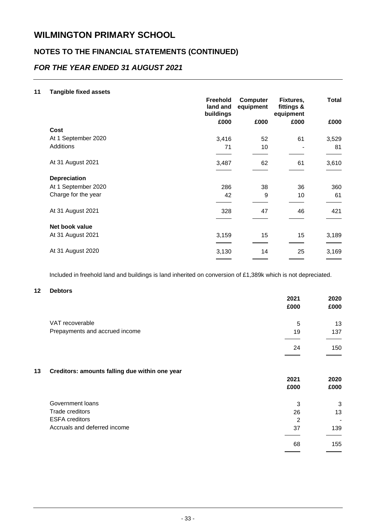# **NOTES TO THE FINANCIAL STATEMENTS (CONTINUED)**

# *FOR THE YEAR ENDED 31 AUGUST 2021*

### **11 Tangible fixed assets**

|                     | <b>Freehold</b><br>land and<br>buildings | <b>Computer</b><br>equipment | Fixtures,<br>fittings &<br>equipment | <b>Total</b> |
|---------------------|------------------------------------------|------------------------------|--------------------------------------|--------------|
|                     | £000                                     | £000                         | £000                                 | £000         |
| Cost                |                                          |                              |                                      |              |
| At 1 September 2020 | 3,416                                    | 52                           | 61                                   | 3,529        |
| Additions           | 71                                       | 10                           |                                      | 81           |
| At 31 August 2021   | 3,487                                    | 62                           | 61                                   | 3,610        |
| <b>Depreciation</b> |                                          |                              |                                      |              |
| At 1 September 2020 | 286                                      | 38                           | 36                                   | 360          |
| Charge for the year | 42                                       | 9                            | 10                                   | 61           |
| At 31 August 2021   | 328                                      | 47                           | 46                                   | 421          |
| Net book value      |                                          |                              |                                      |              |
| At 31 August 2021   | 3,159                                    | 15                           | 15                                   | 3,189        |
| At 31 August 2020   | 3,130                                    | 14                           | 25                                   | 3,169        |
|                     |                                          |                              |                                      |              |

Included in freehold land and buildings is land inherited on conversion of £1,389k which is not depreciated.

### **12 Debtors**

|    |                                                | 2021 | 2020 |
|----|------------------------------------------------|------|------|
|    |                                                | £000 | £000 |
|    | VAT recoverable                                | 5    | 13   |
|    | Prepayments and accrued income                 | 19   | 137  |
|    |                                                | 24   | 150  |
|    |                                                |      |      |
| 13 | Creditors: amounts falling due within one year |      |      |
|    |                                                | 2021 | 2020 |
|    |                                                | £000 | £000 |
|    | Government loans                               | 3    | 3    |
|    | Trade creditors                                | 26   | 13   |
|    | <b>ESFA</b> creditors                          | 2    |      |
|    | Accruals and deferred income                   | 37   | 139  |
|    |                                                | 68   | 155  |
|    |                                                |      |      |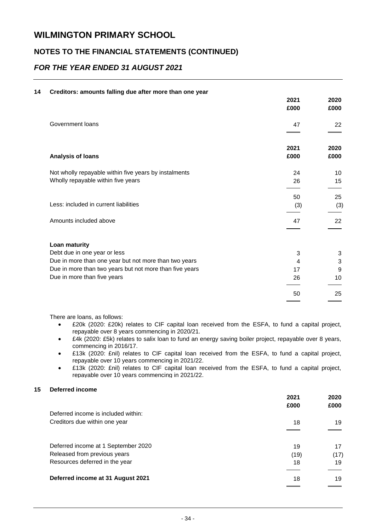# **NOTES TO THE FINANCIAL STATEMENTS (CONTINUED)**

### *FOR THE YEAR ENDED 31 AUGUST 2021*

| 14<br>Creditors: amounts falling due after more than one year                               | 2021<br>£000 | 2020<br>£000 |
|---------------------------------------------------------------------------------------------|--------------|--------------|
| Government loans                                                                            | 47           | 22           |
| <b>Analysis of loans</b>                                                                    | 2021<br>£000 | 2020<br>£000 |
| Not wholly repayable within five years by instalments<br>Wholly repayable within five years | 24<br>26     | 10<br>15     |
| Less: included in current liabilities                                                       | 50<br>(3)    | 25<br>(3)    |
| Amounts included above                                                                      | 47           | 22           |
| Loan maturity                                                                               |              |              |
| Debt due in one year or less                                                                | 3            | 3            |
| Due in more than one year but not more than two years                                       | 4            | 3            |
| Due in more than two years but not more than five years                                     | 17           | 9            |
| Due in more than five years                                                                 | 26           | 10           |
|                                                                                             | 50           | 25           |

There are loans, as follows:

- £20k (2020: £20k) relates to CIF capital loan received from the ESFA, to fund a capital project, repayable over 8 years commencing in 2020/21.
- £4k (2020: £5k) relates to salix loan to fund an energy saving boiler project, repayable over 8 years, commencing in 2016/17.
- £13k (2020: £nil) relates to CIF capital loan received from the ESFA, to fund a capital project, repayable over 10 years commencing in 2021/22.
- £13k (2020: £nil) relates to CIF capital loan received from the ESFA, to fund a capital project, repayable over 10 years commencing in 2021/22.

### **15 Deferred income**

| 2021<br>2020 |
|--------------|
| £000<br>£000 |
|              |
| 18<br>19     |
|              |
| 19<br>17     |
| (19)<br>(17) |
| 19<br>18     |
|              |
| 18<br>19     |
|              |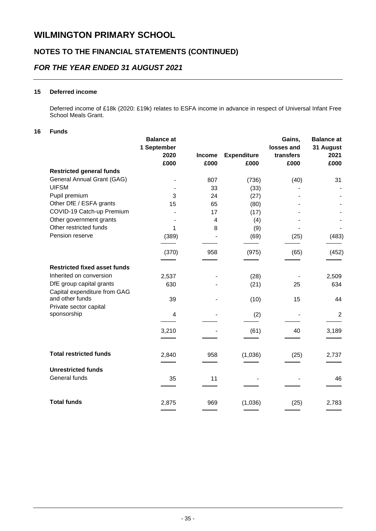# **NOTES TO THE FINANCIAL STATEMENTS (CONTINUED)**

# *FOR THE YEAR ENDED 31 AUGUST 2021*

### **15 Deferred income**

Deferred income of £18k (2020: £19k) relates to ESFA income in advance in respect of Universal Infant Free School Meals Grant.

### **16 Funds**

|                                           | <b>Balance at</b> |               |                    | Gains,     | <b>Balance at</b> |
|-------------------------------------------|-------------------|---------------|--------------------|------------|-------------------|
|                                           | 1 September       |               |                    | losses and | 31 August         |
|                                           | 2020              | <b>Income</b> | <b>Expenditure</b> | transfers  | 2021              |
|                                           | £000              | £000          | £000               | £000       | £000              |
| <b>Restricted general funds</b>           |                   |               |                    |            |                   |
| General Annual Grant (GAG)                |                   | 807           | (736)              | (40)       | 31                |
| <b>UIFSM</b>                              |                   | 33            | (33)               |            |                   |
| Pupil premium                             | 3                 | 24            | (27)               |            |                   |
| Other DfE / ESFA grants                   | 15                | 65            | (80)               |            |                   |
| COVID-19 Catch-up Premium                 |                   | 17            | (17)               |            |                   |
| Other government grants                   |                   | 4             | (4)                |            |                   |
| Other restricted funds                    | 1                 | 8             | (9)                |            |                   |
| Pension reserve                           | (389)             |               | (69)               | (25)       | (483)             |
|                                           | (370)             | 958           | (975)              | (65)       | (452)             |
| <b>Restricted fixed asset funds</b>       |                   |               |                    |            |                   |
| Inherited on conversion                   | 2,537             |               | (28)               |            | 2,509             |
| DfE group capital grants                  | 630               |               | (21)               | 25         | 634               |
| Capital expenditure from GAG              |                   |               |                    |            |                   |
| and other funds<br>Private sector capital | 39                |               | (10)               | 15         | 44                |
| sponsorship                               | 4                 |               | (2)                |            | $\overline{2}$    |
|                                           | 3,210             |               | (61)               | 40         | 3,189             |
|                                           |                   |               |                    |            |                   |
| <b>Total restricted funds</b>             | 2,840             | 958           | (1,036)            | (25)       | 2,737             |
| <b>Unrestricted funds</b>                 |                   |               |                    |            |                   |
| General funds                             |                   |               |                    |            |                   |
|                                           | 35                | 11            |                    |            | 46                |
| <b>Total funds</b>                        | 2,875             | 969           | (1,036)            | (25)       | 2,783             |
|                                           |                   |               |                    |            |                   |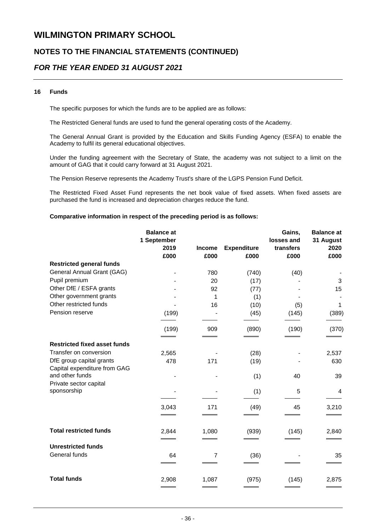# **NOTES TO THE FINANCIAL STATEMENTS (CONTINUED)**

# *FOR THE YEAR ENDED 31 AUGUST 2021*

### **16 Funds**

The specific purposes for which the funds are to be applied are as follows:

The Restricted General funds are used to fund the general operating costs of the Academy.

The General Annual Grant is provided by the Education and Skills Funding Agency (ESFA) to enable the Academy to fulfil its general educational objectives.

Under the funding agreement with the Secretary of State, the academy was not subject to a limit on the amount of GAG that it could carry forward at 31 August 2021.

The Pension Reserve represents the Academy Trust's share of the LGPS Pension Fund Deficit.

The Restricted Fixed Asset Fund represents the net book value of fixed assets. When fixed assets are purchased the fund is increased and depreciation charges reduce the fund.

### **Comparative information in respect of the preceding period is as follows:**

|                                                          | <b>Balance</b> at<br>1 September |                |                    | Gains,<br>losses and | <b>Balance</b> at<br>31 August |
|----------------------------------------------------------|----------------------------------|----------------|--------------------|----------------------|--------------------------------|
|                                                          | 2019                             | <b>Income</b>  | <b>Expenditure</b> | transfers            | 2020                           |
|                                                          | £000                             | £000           | £000               | £000                 | £000                           |
| <b>Restricted general funds</b>                          |                                  |                |                    |                      |                                |
| General Annual Grant (GAG)                               |                                  | 780            | (740)              | (40)                 |                                |
| Pupil premium                                            |                                  | 20             | (17)               |                      | 3                              |
| Other DfE / ESFA grants                                  |                                  | 92             | (77)               |                      | 15                             |
| Other government grants                                  |                                  | 1              | (1)                |                      |                                |
| Other restricted funds                                   |                                  | 16             | (10)               | (5)                  | 1                              |
| Pension reserve                                          | (199)                            |                | (45)               | (145)                | (389)                          |
|                                                          | (199)                            | 909            | (890)              | (190)                | (370)                          |
| <b>Restricted fixed asset funds</b>                      |                                  |                |                    |                      |                                |
| Transfer on conversion                                   | 2,565                            |                | (28)               |                      | 2,537                          |
| DfE group capital grants<br>Capital expenditure from GAG | 478                              | 171            | (19)               |                      | 630                            |
| and other funds                                          |                                  |                | (1)                | 40                   | 39                             |
| Private sector capital<br>sponsorship                    |                                  |                | (1)                | 5                    | 4                              |
|                                                          | 3,043                            | 171            | (49)               | 45                   | 3,210                          |
| <b>Total restricted funds</b>                            | 2,844                            | 1,080          | (939)              | (145)                | 2,840                          |
| <b>Unrestricted funds</b>                                |                                  |                |                    |                      |                                |
| General funds                                            | 64                               | $\overline{7}$ | (36)               |                      | 35                             |
| <b>Total funds</b>                                       | 2,908                            | 1,087          | (975)              | (145)                | 2,875                          |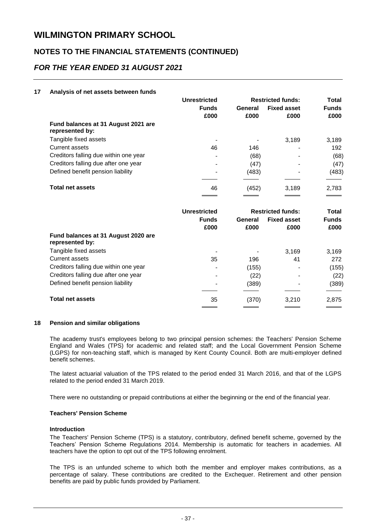# **NOTES TO THE FINANCIAL STATEMENTS (CONTINUED)**

# *FOR THE YEAR ENDED 31 AUGUST 2021*

### **17 Analysis of net assets between funds**

|                                                        | <b>Unrestricted</b> | <b>Restricted funds:</b> |                    | Total        |
|--------------------------------------------------------|---------------------|--------------------------|--------------------|--------------|
|                                                        | <b>Funds</b>        | General                  | <b>Fixed asset</b> | <b>Funds</b> |
|                                                        | £000                | £000                     | £000               | £000         |
| Fund balances at 31 August 2021 are<br>represented by: |                     |                          |                    |              |
| Tangible fixed assets                                  |                     |                          | 3.189              | 3,189        |
| Current assets                                         | 46                  | 146                      |                    | 192          |
| Creditors falling due within one year                  |                     | (68)                     |                    | (68)         |
| Creditors falling due after one year                   |                     | (47)                     |                    | (47)         |
| Defined benefit pension liability                      |                     | (483)                    |                    | (483)        |
| <b>Total net assets</b>                                | 46                  | (452)                    | 3.189              | 2,783        |

|                                                        | <b>Unrestricted</b> | <b>Restricted funds:</b> |                    | Total        |
|--------------------------------------------------------|---------------------|--------------------------|--------------------|--------------|
|                                                        | <b>Funds</b>        | General                  | <b>Fixed asset</b> | <b>Funds</b> |
|                                                        | £000                | £000                     | £000               | £000         |
| Fund balances at 31 August 2020 are<br>represented by: |                     |                          |                    |              |
| Tangible fixed assets                                  | $\blacksquare$      |                          | 3.169              | 3,169        |
| Current assets                                         | 35                  | 196                      | 41                 | 272          |
| Creditors falling due within one year                  | $\blacksquare$      | (155)                    | $\blacksquare$     | (155)        |
| Creditors falling due after one year                   | $\blacksquare$      | (22)                     |                    | (22)         |
| Defined benefit pension liability                      | $\blacksquare$      | (389)                    | $\blacksquare$     | (389)        |
| <b>Total net assets</b>                                | 35                  | (370)                    | 3.210              | 2,875        |

### **18 Pension and similar obligations**

The academy trust's employees belong to two principal pension schemes: the Teachers' Pension Scheme England and Wales (TPS) for academic and related staff; and the Local Government Pension Scheme (LGPS) for non-teaching staff, which is managed by Kent County Council. Both are multi-employer defined benefit schemes.

The latest actuarial valuation of the TPS related to the period ended 31 March 2016, and that of the LGPS related to the period ended 31 March 2019.

There were no outstanding or prepaid contributions at either the beginning or the end of the financial year.

### **Teachers' Pension Scheme**

### **Introduction**

The Teachers' Pension Scheme (TPS) is a statutory, contributory, defined benefit scheme, governed by the Teachers' Pension Scheme Regulations 2014. Membership is automatic for teachers in academies. All teachers have the option to opt out of the TPS following enrolment.

The TPS is an unfunded scheme to which both the member and employer makes contributions, as a percentage of salary. These contributions are credited to the Exchequer. Retirement and other pension benefits are paid by public funds provided by Parliament.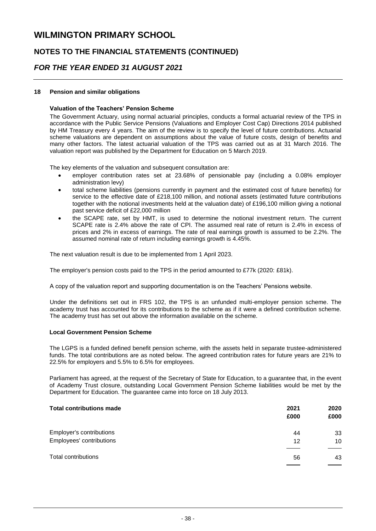# **NOTES TO THE FINANCIAL STATEMENTS (CONTINUED)**

# *FOR THE YEAR ENDED 31 AUGUST 2021*

### **18 Pension and similar obligations**

### **Valuation of the Teachers' Pension Scheme**

The Government Actuary, using normal actuarial principles, conducts a formal actuarial review of the TPS in accordance with the Public Service Pensions (Valuations and Employer Cost Cap) Directions 2014 published by HM Treasury every 4 years. The aim of the review is to specify the level of future contributions. Actuarial scheme valuations are dependent on assumptions about the value of future costs, design of benefits and many other factors. The latest actuarial valuation of the TPS was carried out as at 31 March 2016. The valuation report was published by the Department for Education on 5 March 2019.

The key elements of the valuation and subsequent consultation are:

- employer contribution rates set at 23.68% of pensionable pay (including a 0.08% employer administration levy)
- total scheme liabilities (pensions currently in payment and the estimated cost of future benefits) for service to the effective date of £218,100 million, and notional assets (estimated future contributions together with the notional investments held at the valuation date) of £196,100 million giving a notional past service deficit of £22,000 million
- the SCAPE rate, set by HMT, is used to determine the notional investment return. The current SCAPE rate is 2.4% above the rate of CPI. The assumed real rate of return is 2.4% in excess of prices and 2% in excess of earnings. The rate of real earnings growth is assumed to be 2.2%. The assumed nominal rate of return including earnings growth is 4.45%.

The next valuation result is due to be implemented from 1 April 2023.

The employer's pension costs paid to the TPS in the period amounted to £77k (2020: £81k).

A copy of the valuation report and supporting documentation is on the Teachers' Pensions website.

Under the definitions set out in FRS 102, the TPS is an unfunded multi-employer pension scheme. The academy trust has accounted for its contributions to the scheme as if it were a defined contribution scheme. The academy trust has set out above the information available on the scheme.

### **Local Government Pension Scheme**

The LGPS is a funded defined benefit pension scheme, with the assets held in separate trustee-administered funds. The total contributions are as noted below. The agreed contribution rates for future years are 21% to 22.5% for employers and 5.5% to 6.5% for employees.

Parliament has agreed, at the request of the Secretary of State for Education, to a guarantee that, in the event of Academy Trust closure, outstanding Local Government Pension Scheme liabilities would be met by the Department for Education. The guarantee came into force on 18 July 2013.

| <b>Total contributions made</b> | 2021<br>£000 | 2020<br>£000 |
|---------------------------------|--------------|--------------|
| Employer's contributions        | 44           | 33           |
| Employees' contributions        | 12           | 10           |
|                                 |              |              |
| Total contributions             | 56           | 43           |
|                                 |              | ______       |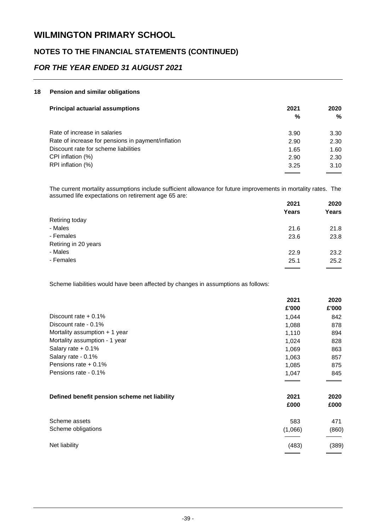# **NOTES TO THE FINANCIAL STATEMENTS (CONTINUED)**

# *FOR THE YEAR ENDED 31 AUGUST 2021*

### **18 Pension and similar obligations**

| <b>Principal actuarial assumptions</b>             | 2021<br>% | 2020<br>$\%$ |
|----------------------------------------------------|-----------|--------------|
| Rate of increase in salaries                       | 3.90      | 3.30         |
| Rate of increase for pensions in payment/inflation | 2.90      | 2.30         |
| Discount rate for scheme liabilities               | 1.65      | 1.60         |
| CPI inflation (%)                                  | 2.90      | 2.30         |
| RPI inflation (%)                                  | 3.25      | 3.10         |

The current mortality assumptions include sufficient allowance for future improvements in mortality rates. The assumed life expectations on retirement age 65 are:

|                      | 2021  | 2020  |
|----------------------|-------|-------|
|                      | Years | Years |
| Retiring today       |       |       |
| - Males              | 21.6  | 21.8  |
| - Females            | 23.6  | 23.8  |
| Retiring in 20 years |       |       |
| - Males              | 22.9  | 23.2  |
| - Females            | 25.1  | 25.2  |
|                      |       |       |

Scheme liabilities would have been affected by changes in assumptions as follows:

|                                              | 2021<br>£'000 | 2020<br>£'000 |
|----------------------------------------------|---------------|---------------|
| Discount rate $+0.1\%$                       | 1,044         | 842           |
| Discount rate - 0.1%                         | 1,088         | 878           |
| Mortality assumption + 1 year                | 1,110         | 894           |
| Mortality assumption - 1 year                | 1,024         | 828           |
| Salary rate $+0.1\%$                         | 1,069         | 863           |
| Salary rate - 0.1%                           | 1,063         | 857           |
| Pensions rate $+0.1\%$                       | 1,085         | 875           |
| Pensions rate - 0.1%                         | 1,047         | 845           |
|                                              |               |               |
| Defined benefit pension scheme net liability | 2021          | 2020          |
|                                              | £000          | £000          |
| Scheme assets                                | 583           | 471           |
| Scheme obligations                           | (1,066)       | (860)         |
| Net liability                                | (483)         | (389)         |
|                                              |               |               |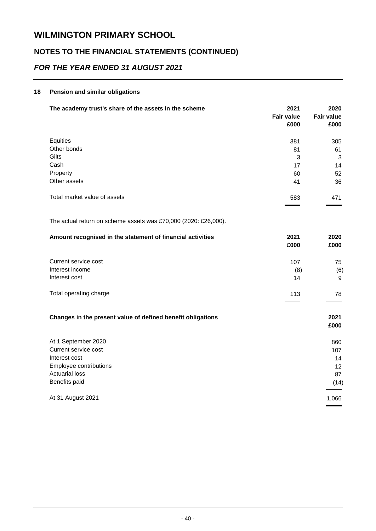# **NOTES TO THE FINANCIAL STATEMENTS (CONTINUED)**

# *FOR THE YEAR ENDED 31 AUGUST 2021*

### **18 Pension and similar obligations**

| The academy trust's share of the assets in the scheme           | 2021<br><b>Fair value</b><br>£000 | 2020<br><b>Fair value</b><br>£000 |
|-----------------------------------------------------------------|-----------------------------------|-----------------------------------|
| Equities                                                        | 381                               | 305                               |
| Other bonds                                                     | 81                                | 61                                |
| <b>Gilts</b>                                                    | 3                                 | $\mathfrak{3}$                    |
| Cash                                                            | 17                                | 14                                |
| Property                                                        | 60                                | 52                                |
| Other assets                                                    | 41                                | 36                                |
| Total market value of assets                                    | 583                               | 471                               |
| The actual return on scheme assets was £70,000 (2020: £26,000). |                                   |                                   |
| Amount recognised in the statement of financial activities      | 2021<br>£000                      | 2020<br>£000                      |
| Current service cost                                            | 107                               | 75                                |
| Interest income                                                 | (8)                               | (6)                               |
| Interest cost                                                   | 14                                | 9                                 |
| Total operating charge                                          | 113                               | 78                                |
| Changes in the present value of defined benefit obligations     |                                   | 2021<br>£000                      |
| At 1 September 2020                                             |                                   | 860                               |
| Current service cost                                            |                                   | 107                               |
| Interest cost                                                   |                                   | 14                                |
| Employee contributions                                          |                                   | 12                                |
| <b>Actuarial loss</b>                                           |                                   | 87                                |
| Benefits paid                                                   |                                   | (14)                              |
| At 31 August 2021                                               |                                   | 1,066                             |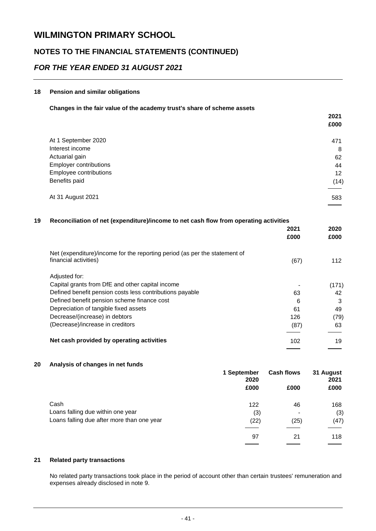# **NOTES TO THE FINANCIAL STATEMENTS (CONTINUED)**

# *FOR THE YEAR ENDED 31 AUGUST 2021*

### **18 Pension and similar obligations**

### **Changes in the fair value of the academy trust's share of scheme assets**

|                        | 2021              |
|------------------------|-------------------|
|                        | £000              |
| At 1 September 2020    | 471               |
| Interest income        | 8                 |
| Actuarial gain         | 62                |
| Employer contributions | 44                |
| Employee contributions | $12 \overline{ }$ |
| Benefits paid          | (14)              |
| At 31 August 2021      | 583               |

**2021 2020**

### **19 Reconciliation of net (expenditure)/income to net cash flow from operating activities**

|                                                                            | ZUZ I<br>£000 | ZUZU<br>£000 |
|----------------------------------------------------------------------------|---------------|--------------|
| Net (expenditure)/income for the reporting period (as per the statement of |               |              |
| financial activities)                                                      | (67)          | 112          |
| Adjusted for:                                                              |               |              |
| Capital grants from DfE and other capital income                           |               | (171)        |
| Defined benefit pension costs less contributions payable                   | 63            | 42           |
| Defined benefit pension scheme finance cost                                | 6             | 3            |
| Depreciation of tangible fixed assets                                      | 61            | 49           |
| Decrease/(increase) in debtors                                             | 126           | (79)         |
| (Decrease)/increase in creditors                                           | (87)          | 63           |
| Net cash provided by operating activities                                  | 102           | 19           |
|                                                                            |               |              |

### **20 Analysis of changes in net funds**

|                                            | 1 September<br>2020<br>£000 | <b>Cash flows</b><br>£000 | 31 August<br>2021<br>£000 |
|--------------------------------------------|-----------------------------|---------------------------|---------------------------|
|                                            |                             |                           |                           |
| Cash                                       | 122                         | 46                        | 168                       |
| Loans falling due within one year          | (3)                         | $\overline{\phantom{a}}$  | (3)                       |
| Loans falling due after more than one year | (22)                        | (25)                      | (47)                      |
|                                            | 97                          | 21                        | 118                       |

### **21 Related party transactions**

No related party transactions took place in the period of account other than certain trustees' remuneration and expenses already disclosed in note 9.